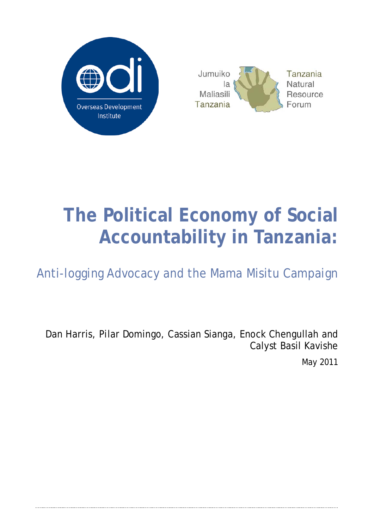

# **The Political Economy of Social Accountability in Tanzania:**

Anti-logging Advocacy and the Mama Misitu Campaign

Dan Harris, Pilar Domingo, Cassian Sianga, Enock Chengullah and Calyst Basil Kavishe

May 2011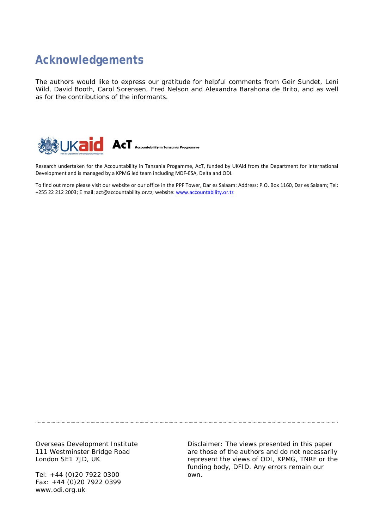## **Acknowledgements**

The authors would like to express our gratitude for helpful comments from Geir Sundet, Leni Wild, David Booth, Carol Sorensen, Fred Nelson and Alexandra Barahona de Brito, and as well as for the contributions of the informants.



Research undertaken for the Accountability in Tanzania Progamme, AcT, funded by UKAid from the Department for International Development and is managed by a KPMG led team including MDF-ESA, Delta and ODI.

To find out more please visit our website or our office in the PPF Tower, Dar es Salaam: Address: P.O. Box 1160, Dar es Salaam; Tel: +255 22 212 2003; E mail: act@accountability.or.tz; website[: www.accountability.or.tz](http://www.accountability.or.tz/)

Overseas Development Institute 111 Westminster Bridge Road London SE1 7JD, UK

Tel: +44 (0)20 7922 0300 Fax: +44 (0)20 7922 0399 www.odi.org.uk

Disclaimer: The views presented in this paper are those of the authors and do not necessarily represent the views of ODI, KPMG, TNRF or the funding body, DFID. Any errors remain our own.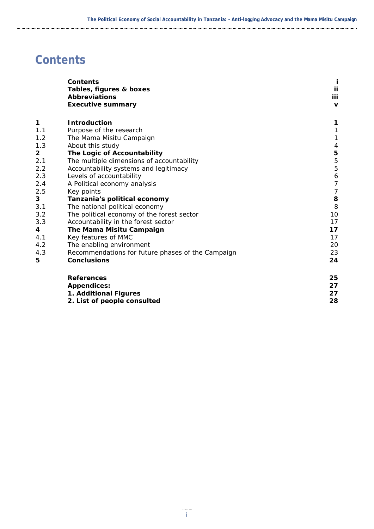## <span id="page-2-0"></span>**Contents**

| <b>Contents</b>                                   |                                                                                                                                                           |
|---------------------------------------------------|-----------------------------------------------------------------------------------------------------------------------------------------------------------|
|                                                   | ij                                                                                                                                                        |
|                                                   | iii                                                                                                                                                       |
|                                                   | $\mathbf v$                                                                                                                                               |
| <b>Introduction</b>                               | 1                                                                                                                                                         |
| Purpose of the research                           | $\mathbf{1}$                                                                                                                                              |
| The Mama Misitu Campaign                          | $\mathbf{1}$                                                                                                                                              |
| About this study                                  | $\overline{a}$                                                                                                                                            |
| The Logic of Accountability                       |                                                                                                                                                           |
| The multiple dimensions of accountability         | $\frac{5}{5}$                                                                                                                                             |
| Accountability systems and legitimacy             | 5                                                                                                                                                         |
| Levels of accountability                          | 6                                                                                                                                                         |
| A Political economy analysis                      | $\overline{7}$                                                                                                                                            |
| Key points                                        | $\overline{7}$                                                                                                                                            |
| Tanzania's political economy                      | 8                                                                                                                                                         |
| The national political economy                    | 8                                                                                                                                                         |
| The political economy of the forest sector        | 10                                                                                                                                                        |
| Accountability in the forest sector               | 17                                                                                                                                                        |
| The Mama Misitu Campaign                          | 17                                                                                                                                                        |
| Key features of MMC                               | 17                                                                                                                                                        |
| The enabling environment                          | 20                                                                                                                                                        |
| Recommendations for future phases of the Campaign | 23                                                                                                                                                        |
| <b>Conclusions</b>                                | 24                                                                                                                                                        |
| <b>References</b>                                 | 25                                                                                                                                                        |
|                                                   | 27                                                                                                                                                        |
|                                                   | 27                                                                                                                                                        |
|                                                   | 28                                                                                                                                                        |
|                                                   | Tables, figures & boxes<br><b>Abbreviations</b><br><b>Executive summary</b><br><b>Appendices:</b><br>1. Additional Figures<br>2. List of people consulted |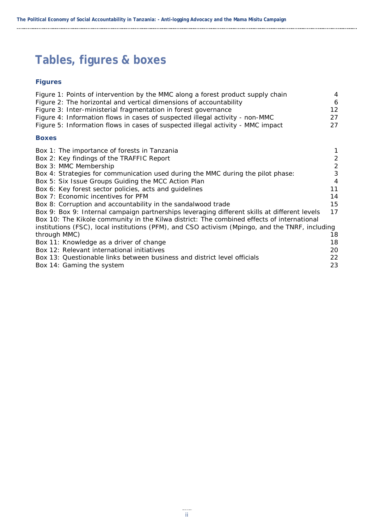## <span id="page-3-0"></span>**Tables, figures & boxes**

#### **Figures**

| Figure 1: Points of intervention by the MMC along a forest product supply chain                 | 4              |
|-------------------------------------------------------------------------------------------------|----------------|
| Figure 2: The horizontal and vertical dimensions of accountability                              | 6              |
| Figure 3: Inter-ministerial fragmentation in forest governance                                  | 12             |
| Figure 4: Information flows in cases of suspected illegal activity - non-MMC                    | 27             |
| Figure 5: Information flows in cases of suspected illegal activity - MMC impact                 | 27             |
| <b>Boxes</b>                                                                                    |                |
| Box 1: The importance of forests in Tanzania                                                    | 1              |
| Box 2: Key findings of the TRAFFIC Report                                                       | $\frac{2}{2}$  |
| Box 3: MMC Membership                                                                           |                |
| Box 4: Strategies for communication used during the MMC during the pilot phase:                 | $\overline{3}$ |
| Box 5: Six Issue Groups Guiding the MCC Action Plan                                             | $\overline{4}$ |
| Box 6: Key forest sector policies, acts and guidelines                                          | 11             |
| Box 7: Economic incentives for PFM                                                              | 14             |
| Box 8: Corruption and accountability in the sandalwood trade                                    | 15             |
| Box 9: Box 9: Internal campaign partnerships leveraging different skills at different levels    | 17             |
| Box 10: The Kikole community in the Kilwa district: The combined effects of international       |                |
| institutions (FSC), local institutions (PFM), and CSO activism (Mpingo, and the TNRF, including |                |
| through MMC)                                                                                    | 18             |
| Box 11: Knowledge as a driver of change                                                         | 18             |
| Box 12: Relevant international initiatives                                                      | 20             |
| Box 13: Questionable links between business and district level officials                        | 22             |
| Box 14: Gaming the system                                                                       | 23             |
|                                                                                                 |                |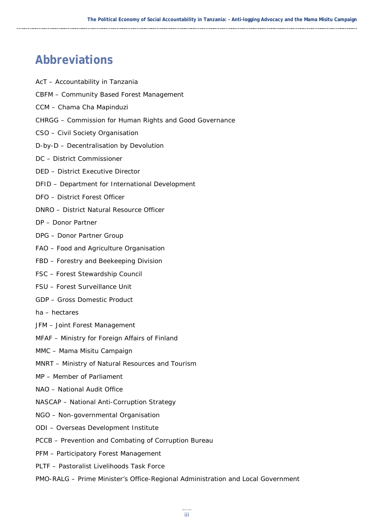## <span id="page-4-0"></span>**Abbreviations**

- AcT Accountability in Tanzania
- CBFM Community Based Forest Management
- CCM Chama Cha Mapinduzi
- CHRGG Commission for Human Rights and Good Governance
- CSO Civil Society Organisation
- D-by-D Decentralisation by Devolution
- DC District Commissioner
- DED District Executive Director
- DFID Department for International Development
- DFO District Forest Officer
- DNRO District Natural Resource Officer
- DP Donor Partner
- DPG Donor Partner Group
- FAO Food and Agriculture Organisation
- FBD Forestry and Beekeeping Division
- FSC Forest Stewardship Council
- FSU Forest Surveillance Unit
- GDP Gross Domestic Product
- ha hectares
- JFM Joint Forest Management
- MFAF Ministry for Foreign Affairs of Finland
- MMC Mama Misitu Campaign
- MNRT Ministry of Natural Resources and Tourism
- MP Member of Parliament
- NAO National Audit Office
- NASCAP National Anti-Corruption Strategy
- NGO Non-governmental Organisation
- ODI Overseas Development Institute
- PCCB Prevention and Combating of Corruption Bureau
- PFM Participatory Forest Management
- PLTF Pastoralist Livelihoods Task Force
- PMO-RALG Prime Minister's Office-Regional Administration and Local Government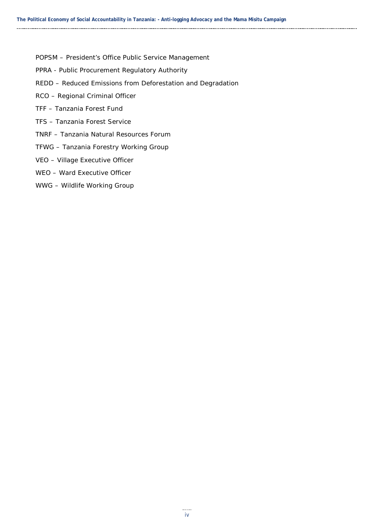- POPSM President's Office Public Service Management
- PPRA Public Procurement Regulatory Authority
- REDD Reduced Emissions from Deforestation and Degradation
- RCO Regional Criminal Officer
- TFF Tanzania Forest Fund
- TFS Tanzania Forest Service
- TNRF Tanzania Natural Resources Forum
- TFWG Tanzania Forestry Working Group
- VEO Village Executive Officer
- WEO Ward Executive Officer
- WWG Wildlife Working Group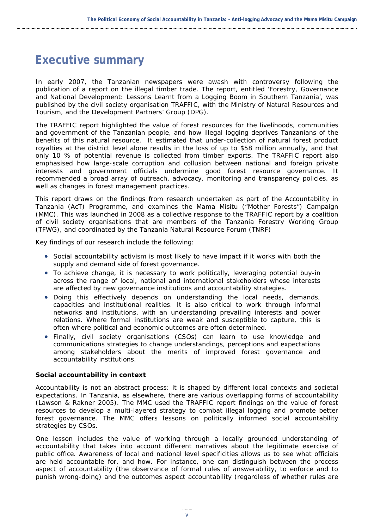## <span id="page-6-0"></span>**Executive summary**

In early 2007, the Tanzanian newspapers were awash with controversy following the publication of a report on the illegal timber trade. The report, entitled '*Forestry, Governance and National Development: Lessons Learnt from a Logging Boom in Southern Tanzania*', was published by the civil society organisation TRAFFIC, with the Ministry of Natural Resources and Tourism, and the Development Partners' Group (DPG).

The TRAFFIC report highlighted the value of forest resources for the livelihoods, communities and government of the Tanzanian people, and how illegal logging deprives Tanzanians of the benefits of this natural resource. It estimated that under-collection of natural forest product royalties at the district level alone results in the loss of up to \$58 million annually, and that only 10 % of potential revenue is collected from timber exports. The TRAFFIC report also emphasised how large-scale corruption and collusion between national and foreign private interests and government officials undermine good forest resource governance. It recommended a broad array of outreach, advocacy, monitoring and transparency policies, as well as changes in forest management practices.

This report draws on the findings from research undertaken as part of the Accountability in Tanzania (AcT) Programme, and examines the *Mama Misitu* ("Mother Forests") *Campaign* (MMC). This was launched in 2008 as a collective response to the TRAFFIC report by a coalition of civil society organisations that are members of the Tanzania Forestry Working Group (TFWG), and coordinated by the Tanzania Natural Resource Forum (TNRF)

Key findings of our research include the following:

- Social accountability activism is most likely to have impact if it works with both the supply and demand side of forest governance.
- To achieve change, it is necessary to work politically, leveraging potential buy-in across the range of local, national and international stakeholders whose interests are affected by new governance institutions and accountability strategies.
- Doing this effectively depends on understanding the local needs, demands, capacities and institutional realities. It is also critical to work through informal networks and institutions, with an understanding prevailing interests and power relations. Where formal institutions are weak and susceptible to capture, this is often where political and economic outcomes are often determined.
- Finally, civil society organisations (CSOs) can learn to use knowledge and communications strategies to change understandings, perceptions and expectations among stakeholders about the merits of improved forest governance and accountability institutions.

#### **Social accountability in context**

Accountability is not an abstract process: it is shaped by different local contexts and societal expectations. In Tanzania, as elsewhere, there are various overlapping forms of accountability (Lawson & Rakner 2005). The MMC used the TRAFFIC report findings on the value of forest resources to develop a multi-layered strategy to combat illegal logging and promote better forest governance. The MMC offers lessons on politically informed social accountability strategies by CSOs.

One lesson includes the value of working through a locally grounded understanding of accountability that takes into account different narratives about the legitimate exercise of public office. Awareness of local and national level specificities allows us to see what officials are held accountable for, and how. For instance, one can distinguish between the *process* aspect of accountability (the observance of formal rules of answerability, to enforce and to punish wrong-doing) and the *outcomes* aspect accountability (regardless of whether rules are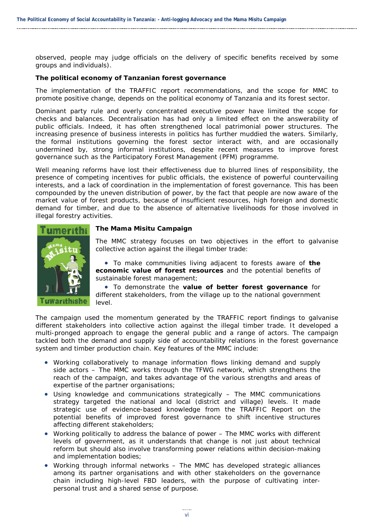observed, people may judge officials on the delivery of specific benefits received by some groups and individuals).

#### **The political economy of Tanzanian forest governance**

The implementation of the TRAFFIC report recommendations, and the scope for MMC to promote positive change, depends on the political economy of Tanzania and its forest sector.

Dominant party rule and overly concentrated executive power have limited the scope for checks and balances. Decentralisation has had only a limited effect on the answerability of public officials. Indeed, it has often strengthened local patrimonial power structures. The increasing presence of business interests in politics has further muddied the waters. Similarly, the formal institutions governing the forest sector interact with, and are occasionally undermined by, strong informal institutions, despite recent measures to improve forest governance such as the Participatory Forest Management (PFM) programme.

Well meaning reforms have lost their effectiveness due to blurred lines of responsibility, the presence of competing incentives for public officials, the existence of powerful countervailing interests, and a lack of coordination in the implementation of forest governance. This has been compounded by the uneven distribution of power, by the fact that people are now aware of the market value of forest products, because of insufficient resources, high foreign and domestic demand for timber, and due to the absence of alternative livelihoods for those involved in illegal forestry activities.



#### **The Mama Misitu Campaign**

The MMC strategy focuses on two objectives in the effort to galvanise collective action against the illegal timber trade:

• To make communities living adjacent to forests aware of **the economic value of forest resources** and the potential benefits of sustainable forest management;

• To demonstrate the **value of better forest governance** for different stakeholders, from the village up to the national government level.

The campaign used the momentum generated by the TRAFFIC report findings to galvanise different stakeholders into collective action against the illegal timber trade. It developed a multi-pronged approach to engage the general public and a range of actors. The campaign tackled both the *demand* and *supply* side of accountability relations in the forest governance system and timber production chain. Key features of the MMC include:

- *Working collaboratively to manage information flows linking demand and supply side actors –* The MMC works through the TFWG network, which strengthens the reach of the campaign, and takes advantage of the various strengths and areas of expertise of the partner organisations;
- *Using knowledge and communications strategically –* The MMC communications strategy targeted the national and local (district and village) levels. It made strategic use of evidence-based knowledge from the TRAFFIC Report on the potential benefits of improved forest governance to shift incentive structures affecting different stakeholders;
- *Working politically to address the balance of power –* The MMC works with different levels of government, as it understands that change is not just about technical reform but should also involve transforming power relations within decision-making and implementation bodies;
- *Working through informal networks –* The MMC has developed strategic alliances among its partner organisations and with other stakeholders on the governance chain including high-level FBD leaders, with the purpose of cultivating interpersonal trust and a shared sense of purpose.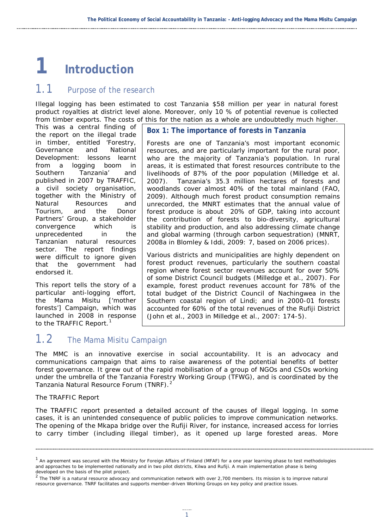## <span id="page-8-0"></span>**1 Introduction**

### <span id="page-8-1"></span>1.1 Purpose of the research

Illegal logging has been estimated to cost Tanzania \$58 million per year in natural forest product royalties at district level alone. Moreover, only 10 % of potential revenue is collected from timber exports. The costs of this for the nation as a whole are undoubtedly much higher.

This was a central finding of the report on the illegal trade in timber, entitled '*Forestry, Governance and National Development: lessons learnt from a logging boom in Southern Tanzania*' and published in 2007 by TRAFFIC, a civil society organisation, together with the Ministry of Natural Resources and Tourism, and the Donor Partners' Group, a stakeholder convergence which is unprecedented in the Tanzanian natural resources sector. The report findings were difficult to ignore given that the government had endorsed it.

This report tells the story of a particular anti-logging effort, the Mama Misitu ['mother forests'] Campaign, which was launched in 2008 in response to the TRAFFIC Report.<sup>[1](#page-8-3)</sup>

**Box 1: The importance of forests in Tanzania**

Forests are one of Tanzania's most important economic resources, and are particularly important for the rural poor, who are the majority of Tanzania's population. In rural areas, it is estimated that forest resources contribute to the livelihoods of 87% of the poor population (Milledge et al. 2007). Tanzania's 35.3 million hectares of forests and woodlands cover almost 40% of the total mainland (FAO, 2009). Although much forest product consumption remains unrecorded, the MNRT estimates that the annual value of forest produce is about 20% of GDP, taking into account the contribution of forests to bio-diversity, agricultural stability and production, and also addressing climate change and global warming (through carbon sequestration) (MNRT, 2008a in Blomley & Iddi, 2009: 7, based on 2006 prices).

Various districts and municipalities are *highly dependent on forest product* revenues, particularly the southern coastal region where forest sector revenues account for over 50% of some District Council budgets (Milledge et al., 2007). For example, forest product revenues account for 78% of the total budget of the District Council of Nachingwea in the Southern coastal region of Lindi; and in 2000-01 forests accounted for 60% of the total revenues of the Rufiji District (John et al., 2003 in Milledge et al., 2007: 174-5).

## <span id="page-8-2"></span>1.2 The Mama Misitu Campaign

The MMC is an innovative exercise in social accountability. It is an advocacy and communications campaign that aims to raise awareness of the potential benefits of better forest governance. It grew out of the rapid mobilisation of a group of NGOs and CSOs working under the umbrella of the Tanzania Forestry Working Group (TFWG), and is coordinated by the Tanzania Natural Resource Forum (TNRF).<sup>[2](#page-8-4)</sup>

#### *The TRAFFIC Report*

The TRAFFIC report presented a detailed account of the causes of illegal logging. In some cases, it is an unintended consequence of public policies to improve communication networks. The opening of the Mkapa bridge over the Rufiji River, for instance, increased access for lorries to carry timber (including illegal timber), as it opened up large forested areas. More

<span id="page-8-3"></span> $1$  An agreement was secured with the Ministry for Foreign Affairs of Finland (MFAF) for a one year learning phase to test methodologies and approaches to be implemented nationally and in two pilot districts, Kilwa and Rufiji. A main implementation phase is being developed on the basis of the pilot project.

<span id="page-8-4"></span> $2$  The TNRF is a natural resource advocacy and communication network with over 2,700 members. Its mission is to improve natural resource governance. TNRF facilitates and supports member-driven Working Groups on key policy and practice issues.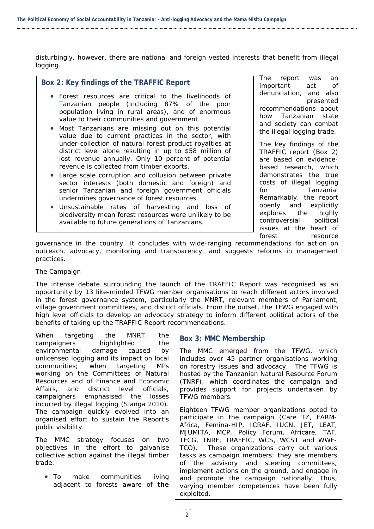disturbingly, however, there are national and foreign vested interests that benefit from illegal logging.

#### **Box 2: Key findings of the TRAFFIC Report**

- Forest resources are critical to the livelihoods of Tanzanian people (including 87% of the poor population living in rural areas), and of enormous value to their communities and government.
- Most Tanzanians are missing out on this potential value due to current practices in the sector, with under-collection of natural forest product royalties at district level alone resulting in up to \$58 million of lost revenue annually. Only 10 percent of potential revenue is collected from timber exports.
- Large scale corruption and collusion between private sector interests (both domestic and foreign) and senior Tanzanian and foreign government officials undermines governance of forest resources.
- Unsustainable rates of harvesting and loss of biodiversity mean forest resources were unlikely to be available to future generations of Tanzanians.

The report was an important act of denunciation, and also presented recommendations about how Tanzanian state and society can combat the illegal logging trade.

The key findings of the TRAFFIC report (Box 2) are based on evidencebased research, which demonstrates the true costs of illegal logging for Tanzania. Remarkably, the report openly and explicitly explores the highly controversial political issues at the heart of forest resource

governance in the country. It concludes with wide-ranging recommendations for action on outreach, advocacy, monitoring and transparency, and suggests reforms in management practices.

#### *The Campaign*

The intense debate surrounding the launch of the TRAFFIC Report was recognised as an opportunity by 13 like-minded TFWG member organisations to reach different actors involved in the forest governance system, particularly the MNRT, relevant members of Parliament, village government committees, and district officials. From the outset, the TFWG engaged with high level officials to develop an advocacy strategy to inform different political actors of the benefits of taking up the TRAFFIC Report recommendations.

When targeting the MNRT, the campaigners highlighted the environmental damage caused by unlicensed logging and its impact on local communities; when targeting MPs working on the Committees of Natural Resources and of Finance and Economic Affairs, and district level officials, campaigners emphasised the losses incurred by illegal logging (Sianga 2010). The campaign quickly evolved into an organised effort to sustain the Report's public visibility.

The MMC strategy focuses on two objectives in the effort to galvanise collective action against the illegal timber trade:

• To make communities living adjacent to forests aware of **the** 

#### **Box 3: MMC Membership**

The MMC emerged from the TFWG, which includes over 45 partner organisations working on forestry issues and advocacy. The TFWG is hosted by the Tanzanian Natural Resource Forum (TNRF), which coordinates the campaign and provides support for projects undertaken by TFWG members.

Eighteen TFWG member organizations opted to participate in the campaign (Care TZ, FARM-Africa, Femina-HIP, ICRAF, IUCN, JET, LEAT, MJUMITA, MCP, Policy Forum, Africare, TAF, TFCG, TNRF, TRAFFIC, WCS, WCST and WWF-TCO). These organizations carry out various tasks as campaign members: they are members of the advisory and steering committees, implement actions on the ground, and engage in and promote the campaign nationally. Thus, varying member competences have been fully exploited.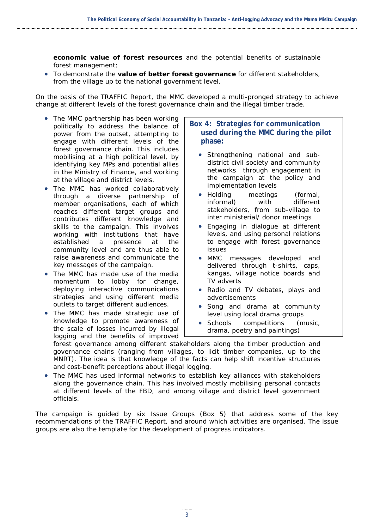**economic value of forest resources** and the potential benefits of sustainable forest management;

• To demonstrate the **value of better forest governance** for different stakeholders, from the village up to the national government level.

On the basis of the TRAFFIC Report, the MMC developed a multi-pronged strategy to achieve change at different levels of the forest governance chain and the illegal timber trade.

- *The MMC partnership has been working politically to address the balance of power* from the outset, attempting to engage with different levels of the forest governance chain. This includes mobilising at a high political level, by identifying key MPs and potential allies in the Ministry of Finance, and working at the village and district levels.
- *The MMC has worked collaboratively through* a diverse partnership of member organisations, each of which reaches different target groups and contributes different knowledge and skills to the campaign. This involves working with institutions that have established a presence at the community level and are thus able to raise awareness and communicate the key messages of the campaign.
- *The MMC has made use of the media momentum to lobby for change*, deploying interactive communications strategies and using different media outlets to target different audiences.
- *The MMC has made strategic use of knowledge* to promote awareness of the scale of losses incurred by illegal logging and the benefits of improved

#### **Box 4: Strategies for communication used during the MMC during the pilot phase:**

- Strengthening national and subdistrict civil society and community networks through engagement in the campaign at the policy and implementation levels
- Holding meetings (formal, informal) with different stakeholders, from sub-village to inter ministerial/ donor meetings
- Engaging in dialogue at different levels, and using personal relations to engage with forest governance issues
- MMC messages developed and delivered through t-shirts, caps, kangas, village notice boards and TV adverts
- Radio and TV debates, plays and advertisements
- Song and drama at community level using local drama groups
- Schools competitions (music, drama, poetry and paintings)

forest governance among different stakeholders along the timber production and governance chains (ranging from villages, to licit timber companies, up to the MNRT). The idea is that knowledge of the facts can help shift incentive structures and cost-benefit perceptions about illegal logging.

• *The MMC has used informal networks* to establish key alliances with stakeholders along the governance chain. This has involved mostly mobilising personal contacts at different levels of the FBD, and among village and district level government officials.

The campaign is guided by six Issue Groups (Box 5) that address some of the key recommendations of the TRAFFIC Report, and around which activities are organised. The issue groups are also the template for the development of progress indicators.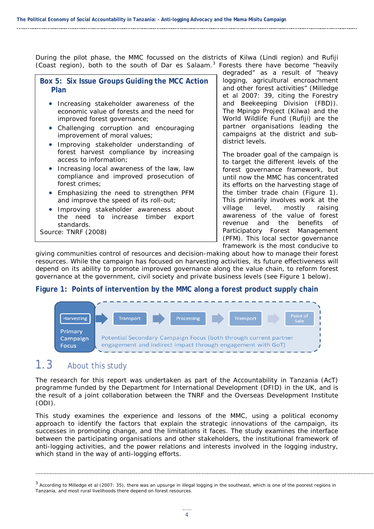During the pilot phase, the MMC focussed on the districts of Kilwa (Lindi region) and Rufiji (Coast region), both to the south of Dar es Salaam.<sup>[3](#page-11-2)</sup> Forests there have become "heavily

**Box 5: Six Issue Groups Guiding the MCC Action Plan**

- Increasing stakeholder awareness of the economic value of forests and the need for improved forest governance;
- Challenging corruption and encouraging improvement of moral values;
- Improving stakeholder understanding of forest harvest compliance by increasing access to information;
- Increasing local awareness of the law, law compliance and improved prosecution of forest crimes;
- Emphasizing the need to strengthen PFM and improve the speed of its roll-out;
- Improving stakeholder awareness about the need to increase timber export standards.

Source: TNRF (2008)

degraded" as a result of "heavy logging, agricultural encroachment and other forest activities" (Milledge et al 2007: 39, citing the Forestry and Beekeeping Division (FBD)). The Mpingo Project (Kilwa) and the World Wildlife Fund (Rufiji) are the partner organisations leading the campaigns at the district and subdistrict levels.

The broader goal of the campaign is to target the different levels of the forest governance framework, but until now the MMC has concentrated its efforts on the harvesting stage of the timber trade chain (Figure 1). This primarily involves work at the village level, mostly raising awareness of the value of forest revenue and the benefits of Participatory Forest Management (PFM). This local sector governance framework is the most conducive to

giving communities control of resources and decision-making about how to manage their forest resources. While the campaign has focused on harvesting activities, its future effectiveness will depend on its ability to promote improved governance along the value chain, to reform forest governance at the government, civil society and private business levels (see Figure 1 below).

#### **Figure 1: Points of intervention by the MMC along a forest product supply chain**

<span id="page-11-1"></span>

## <span id="page-11-0"></span>1.3 About this study

The research for this report was undertaken as part of the Accountability in Tanzania (AcT) programme funded by the Department for International Development (DFID) in the UK, and is the result of a joint collaboration between the TNRF and the Overseas Development Institute (ODI).

This study examines the experience and lessons of the MMC, using a political economy approach to identify the factors that explain the strategic innovations of the campaign, its successes in promoting change, and the limitations it faces. The study examines the interface between the participating organisations and other stakeholders, the institutional framework of anti-logging activities, and the power relations and interests involved in the logging industry, which stand in the way of anti-logging efforts.

<span id="page-11-2"></span><sup>&</sup>lt;sup>3</sup> According to Milledge et al (2007: 35), there was an upsurge in illegal logging in the southeast, which is one of the poorest regions in Tanzania, and most rural livelihoods there depend on forest resources.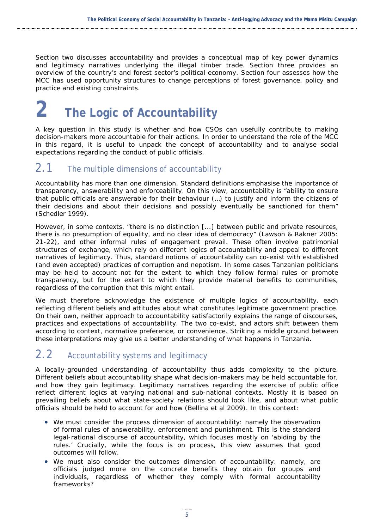Section two discusses accountability and provides a conceptual map of key power dynamics and legitimacy narratives underlying the illegal timber trade. Section three provides an overview of the country's and forest sector's political economy. Section four assesses how the MCC has used opportunity structures to change perceptions of forest governance, policy and practice and existing constraints.

# <span id="page-12-0"></span>**2 The Logic of Accountability**

A key question in this study is whether and how CSOs can usefully contribute to making decision-makers more accountable for their actions. In order to understand the role of the MCC in this regard, it is useful to unpack the concept of accountability and to analyse social expectations regarding the conduct of public officials.

## <span id="page-12-1"></span>2.1 The multiple dimensions of accountability

Accountability has more than one dimension. Standard definitions emphasise the importance of transparency, answerability and enforceability. On this view, accountability is "ability to ensure that public officials are answerable for their behaviour (…) to justify and inform the citizens of their decisions and about their decisions and possibly eventually be sanctioned for them" (Schedler 1999).

However, in some contexts, "there is no distinction [...] between public and private resources, there is no presumption of equality, and no clear idea of democracy" (Lawson & Rakner 2005: 21-22), and other informal rules of engagement prevail. These often involve patrimonial structures of exchange, which rely on different logics of accountability and appeal to different narratives of legitimacy. Thus, standard notions of accountability can co-exist with established (and even accepted) practices of corruption and nepotism. In some cases Tanzanian politicians may be held to account not for the extent to which they follow formal rules or promote transparency, but for the extent to which they provide material benefits to communities, regardless of the corruption that this might entail.

We must therefore acknowledge the existence of multiple logics of accountability, each reflecting different beliefs and attitudes about what constitutes legitimate government practice. On their own, neither approach to accountability satisfactorily explains the range of discourses, practices and expectations of accountability. The two co-exist, and actors shift between them according to context, normative preference, or convenience. Striking a middle ground between these interpretations may give us a better understanding of what happens in Tanzania.

## <span id="page-12-2"></span>2.2 Accountability systems and legitimacy

A locally-grounded understanding of accountability thus adds complexity to the picture. Different beliefs about accountability shape what decision-makers may be held accountable for, and how they gain legitimacy. Legitimacy narratives regarding the exercise of public office reflect different logics at varying national and sub-national contexts. Mostly it is based on prevailing beliefs about what state-society relations should look like, and about what public officials should be held to account for and how (Bellina et al 2009). In this context:

- We must consider the *process dimension of accountability*: namely the observation of *formal rules* of answerability, enforcement and punishment. This is the standard legal-rational discourse of accountability, which focuses mostly on 'abiding by the rules.' Crucially, while the focus is on process, this view assumes that good outcomes will follow.
- We must also consider the *outcomes* dimension of accountability: namely, are officials judged more on the *concrete benefits* they obtain for groups and individuals, regardless of whether they comply with formal accountability frameworks?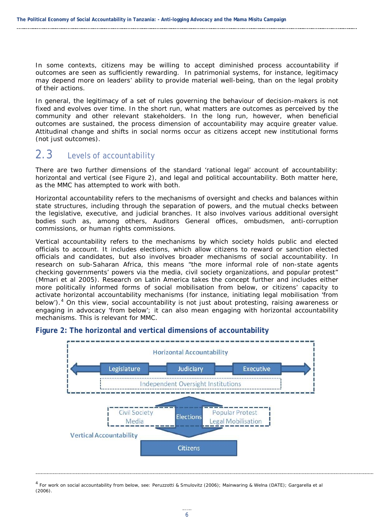In some contexts, citizens may be willing to accept diminished process accountability if outcomes are seen as sufficiently rewarding. In patrimonial systems, for instance, legitimacy may depend more on leaders' ability to provide material well-being, than on the legal probity of their actions.

In general, the legitimacy of a set of rules governing the behaviour of decision-makers is not fixed and evolves over time. In the short run, what matters ar*e outcomes* as perceived by the community and other relevant stakeholders. In the long run, however, when beneficial *outcomes are sustained*, the *process* dimension of accountability may acquire greater value. Attitudinal change and shifts in social norms occur as citizens accept new institutional forms (not just outcomes).

## <span id="page-13-0"></span>2.3 Levels of accountability

There are two further dimensions of the standard 'rational legal' account of accountability: horizontal and vertical (see Figure 2), and legal and political accountability. Both matter here, as the MMC has attempted to work with both.

*Horizontal accountability* refers to the mechanisms of oversight and checks and balances within state structures, including through the separation of powers, and the mutual checks between the legislative, executive, and judicial branches. It also involves various additional oversight bodies such as, among others, Auditors General offices, ombudsmen, anti-corruption commissions, or human rights commissions.

*Vertical accountability* refers to the mechanisms by which society holds public and elected officials to account. It includes elections, which allow citizens to reward or sanction elected officials and candidates, but also involves broader mechanisms of *social accountability*. In research on sub-Saharan Africa, this means "the more informal role of non-state agents checking governments' powers via the media, civil society organizations, and popular protest" (Mmari et al 2005). Research on Latin America takes the concept further and includes either more politically informed forms of social mobilisation from below, or citizens' capacity to activate horizontal accountability mechanisms (for instance, initiating legal mobilisation 'from below').<sup>[4](#page-13-2)</sup> On this view, social accountability is not just about protesting, raising awareness or engaging in advocacy 'from below'; it can also mean engaging with horizontal accountability mechanisms. This is relevant for MMC.



#### <span id="page-13-1"></span>**Figure 2: The horizontal and vertical dimensions of accountability**

<span id="page-13-2"></span><sup>4</sup> For work on social accountability from below, see: Peruzzotti & Smulovitz (2006); Mainwaring & Welna (DATE); Gargarella et al (2006).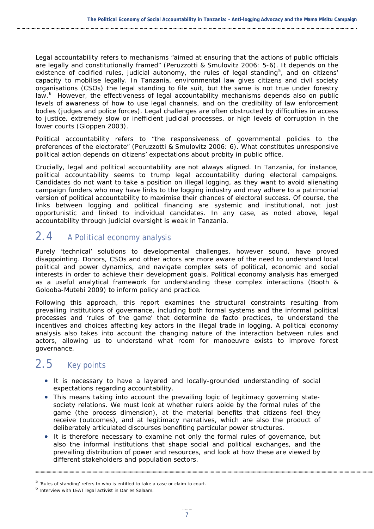*Legal accountability* refers to mechanisms "aimed at ensuring that the actions of public officials are legally and constitutionally framed" (Peruzzotti & Smulovitz 2006: 5-6). It depends on the existence of codified rules, judicial autonomy, the rules of legal standing<sup>[5](#page-14-2)</sup>, and on citizens' capacity to mobilise legally. In Tanzania, environmental law gives citizens and civil society organisations (CSOs) the legal standing to file suit, but the same is not true under forestry law.<sup>[6](#page-14-3)</sup> However, the effectiveness of legal accountability mechanisms depends also on public levels of awareness of how to use legal channels, and on the credibility of law enforcement bodies (judges and police forces). Legal challenges are often obstructed by difficulties in access to justice, extremely slow or inefficient judicial processes, or high levels of corruption in the lower courts (Gloppen 2003).

*Political accountability* refers to "the responsiveness of governmental policies to the preferences of the electorate" (Peruzzotti & Smulovitz 2006: 6). What constitutes unresponsive political action depends on citizens' expectations about probity in public office.

Crucially, legal and political accountability are not always aligned. In Tanzania, for instance, political accountability seems to trump legal accountability during electoral campaigns. Candidates do not want to take a position on illegal logging, as they want to avoid alienating campaign funders who may have links to the logging industry and may adhere to a patrimonial version of political accountability to maximise their chances of electoral success. Of course, the links between logging and political financing are systemic and institutional, not just opportunistic and linked to individual candidates. In any case, as noted above, legal accountability through judicial oversight is weak in Tanzania.

## <span id="page-14-0"></span>2.4 A Political economy analysis

Purely 'technical' solutions to developmental challenges, however sound, have proved disappointing. Donors, CSOs and other actors are more aware of the need to understand local political and power dynamics, and navigate complex sets of political, economic and social interests in order to achieve their development goals. Political economy analysis has emerged as a useful analytical framework for understanding these complex interactions (Booth & Golooba-Mutebi 2009) to inform policy and practice.

Following this approach, this report examines the structural constraints resulting from prevailing institutions of governance, including both formal systems and the informal political processes and 'rules of the game' that determine *de facto* practices, to understand the incentives and choices affecting key actors in the illegal trade in logging. A political economy analysis also takes into account the changing nature of the interaction between rules and actors, allowing us to understand what room for manoeuvre exists to improve forest governance.

## <span id="page-14-1"></span>2.5 Key points

- It is necessary to have a layered and locally-grounded understanding of social expectations regarding accountability.
- This means taking into account the prevailing logic of legitimacy governing statesociety relations. We must look at whether rulers abide by the formal rules of the game (the process dimension), at the material benefits that citizens feel they receive (outcomes), and at legitimacy narratives, which are also the product of deliberately articulated discourses benefiting particular power structures.
- It is therefore necessary to examine not only the formal rules of governance, but also the informal institutions that shape social and political exchanges, and the prevailing distribution of power and resources, and look at how these are viewed by different stakeholders and population sectors.

<span id="page-14-2"></span><sup>5</sup> 'Rules of standing' refers to who is entitled to take a case or claim to court.

<span id="page-14-3"></span><sup>6</sup> Interview with LEAT legal activist in Dar es Salaam.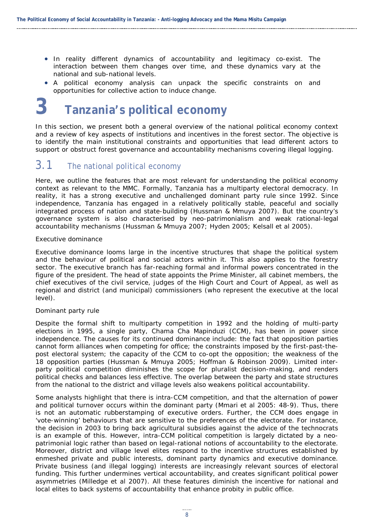- In reality different dynamics of accountability and legitimacy co-exist. The interaction between them changes over time, and these dynamics vary at the national and sub-national levels.
- A political economy analysis can unpack the specific constraints on and opportunities for collective action to induce change.

## <span id="page-15-0"></span>**3 Tanzania's political economy**

In this section, we present both a general overview of the national political economy context and a review of key aspects of institutions and incentives in the forest sector. The objective is to identify the main institutional constraints and opportunities that lead different actors to support or obstruct forest governance and accountability mechanisms covering illegal logging.

### <span id="page-15-1"></span>3.1 The national political economy

Here, we outline the features that are most relevant for understanding the political economy context as relevant to the MMC. Formally, Tanzania has a multiparty electoral democracy. In reality, it has a strong executive and unchallenged dominant party rule since 1992. Since independence, Tanzania has engaged in a relatively politically stable, peaceful and socially integrated process of nation and state-building (Hussman & Mmuya 2007). But the country's governance system is also characterised by neo-patrimonialism and weak rational-legal accountability mechanisms (Hussman & Mmuya 2007; Hyden 2005; Kelsall et al 2005).

#### *Executive dominance*

Executive dominance looms large in the incentive structures that shape the political system and the behaviour of political and social actors within it. This also applies to the forestry sector. The executive branch has far-reaching formal and informal powers concentrated in the figure of the president. The head of state appoints the Prime Minister, all cabinet members, the chief executives of the civil service, judges of the High Court and Court of Appeal, as well as regional and district (and municipal) commissioners (who represent the executive at the local level).

#### *Dominant party rule*

Despite the formal shift to multiparty competition in 1992 and the holding of multi-party elections in 1995, a single party, Chama Cha Mapinduzi (CCM), has been in power since independence. The causes for its continued dominance include: the fact that opposition parties cannot form alliances when competing for office; the constraints imposed by the first-past-thepost electoral system; the capacity of the CCM to co-opt the opposition; the weakness of the 18 opposition parties (Hussman & Mmuya 2005; Hoffman & Robinson 2009). Limited interparty political competition diminishes the scope for pluralist decision-making, and renders political checks and balances less effective. The overlap between the party and state structures from the national to the district and village levels also weakens political accountability.

Some analysts highlight that there is intra-CCM competition, and that the alternation of power and political turnover occurs within the dominant party (Mmari et al 2005: 48-9). Thus, there is not an automatic rubberstamping of executive orders. Further, the CCM does engage in 'vote-winning' behaviours that are sensitive to the preferences of the electorate. For instance, the decision in 2003 to bring back agricultural subsidies against the advice of the technocrats is an example of this. However, intra-CCM political competition is largely dictated by a neopatrimonial logic rather than based on legal-rational notions of accountability to the electorate. Moreover, district and village level elites respond to the incentive structures established by enmeshed private and public interests, dominant party dynamics and executive dominance. Private business (and illegal logging) interests are increasingly relevant sources of electoral funding. This further undermines vertical accountability, and creates significant political power asymmetries (Milledge et al 2007). All these features diminish the incentive for national and local elites to back systems of accountability that enhance probity in public office.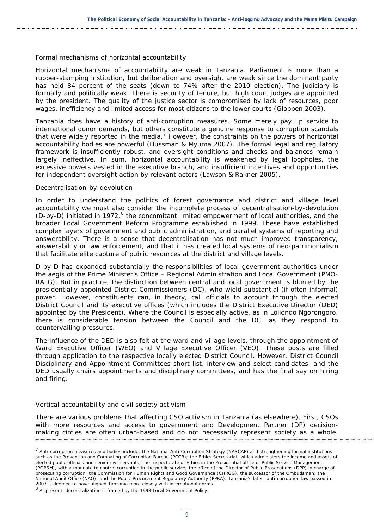#### *Formal mechanisms of horizontal accountability*

Horizontal mechanisms of accountability are weak in Tanzania. Parliament is more than a rubber-stamping institution, but deliberation and oversight are weak since the dominant party has held 84 percent of the seats (down to 74% after the 2010 election). The judiciary is formally and politically weak. There is security of tenure, but high court judges are appointed by the president. The quality of the justice sector is compromised by lack of resources, poor wages, inefficiency and limited access for most citizens to the lower courts (Gloppen 2003).

Tanzania does have a history of anti-corruption measures. Some merely pay lip service to international donor demands, but others constitute a genuine response to corruption scandals that were widely reported in the media.<sup>[7](#page-16-0)</sup> However, the constraints on the powers of horizontal accountability bodies are powerful (Hussman & Myuma 2007). The *formal* legal and regulatory framework is insufficiently robust, and oversight conditions and checks and balances remain largely ineffective. In sum, horizontal accountability is weakened by legal loopholes, the excessive powers vested in the executive branch, and insufficient incentives and opportunities for independent oversight action by relevant actors (Lawson & Rakner 2005).

#### *Decentralisation-by-devolution*

In order to understand the politics of forest governance and district and village level accountability we must also consider the incomplete process of decentralisation-by-devolution (D-by-D) initiated in 1972, $8$  the concomitant limited empowerment of local authorities, and the broader Local Government Reform Programme established in 1999. These have established complex layers of government and public administration, and parallel systems of reporting and answerability. There is a sense that decentralisation has not much improved transparency, answerability or law enforcement, and that it has created local systems of neo-patrimonialism that facilitate elite capture of public resources at the district and village levels.

D-by-D has expanded substantially the responsibilities of local government authorities under the aegis of the Prime Minister's Office – Regional Administration and Local Government (PMO-RALG). But in practice, the distinction between central and local government is blurred by the presidentially appointed District Commissioners (DC), who wield substantial (if often informal) power. However, constituents can, in theory, call officials to account through the elected District Council and its executive offices (which includes the District Executive Director (DED) appointed by the President). Where the Council is especially active, as in Loliondo Ngorongoro, there is considerable tension between the Council and the DC, as they respond to countervailing pressures.

The influence of the DED is also felt at the ward and village levels, through the appointment of Ward Executive Officer (WEO) and Village Executive Officer (VEO). These posts are filled through application to the respective locally elected District Council. However, District Council Disciplinary and Appointment Committees short-list, interview and select candidates, and the DED usually chairs appointments and disciplinary committees, and has the final say on hiring and firing.

#### *Vertical accountability and civil society activism*

There are various problems that affecting CSO activism in Tanzania (as elsewhere). First, CSOs with more resources and access to government and Development Partner (DP) decisionmaking circles are often urban-based and do not necessarily represent society as a whole.

<span id="page-16-0"></span> $<sup>7</sup>$  Anti-corruption measures and bodies include: the National Anti-Corruption Strategy (NASCAP) and strengthening formal institutions</sup> such as the Prevention and Combating of Corruption Bureau (PCCB); the Ethics Secretariat, which administers the income and assets of elected public officials and senior civil servants; the Inspectorate of Ethics in the Presidential office of Public Service Management (POPSM), with a mandate to control corruption in the public service; the office of the Director of Public Prosecutions (DPP) in charge of prosecuting corruption; the Commission for Human Rights and Good Governance (CHRGG), the successor of the Ombudsman; the National Audit Office (NAO); and the Public Procurement Regulatory Authority (PPRA). Tanzania's latest anti-corruption law passed in 2007 is deemed to have aligned Tanzania more closely with international norms.

<span id="page-16-1"></span><sup>8</sup> At present, decentralization is framed by the 1998 Local Government Policy.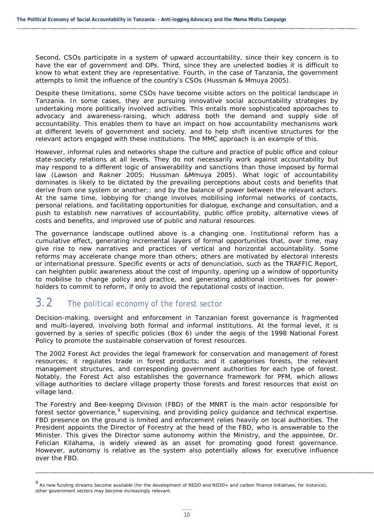Second, CSOs participate in a system of upward accountability, since their key concern is to have the ear of government and DPs. Third, since they are unelected bodies it is difficult to know to what extent they are representative. Fourth, in the case of Tanzania, the government attempts to limit the influence of the country's CSOs (Hussman & Mmuya 2005).

Despite these limitations, some CSOs have become visible actors on the political landscape in Tanzania. In some cases, they are pursuing innovative social accountability strategies by undertaking more politically involved activities. This entails more sophisticated approaches to advocacy and awareness-raising, which address both the *demand* and *supply* side of accountability. This enables them to have an impact on how accountability mechanisms work at different levels of government and society, and to help shift incentive structures for the relevant actors engaged with these institutions. The MMC approach is an example of this.

However, informal rules and networks shape the culture and practice of public office and colour state-society relations at all levels. They do not necessarily work against accountability but may respond to a different logic of answerability and sanctions than those imposed by formal law (Lawson and Rakner 2005; Hussman &Mmuya 2005). What logic of accountability dominates is likely to be dictated by the prevailing perceptions about costs and benefits that derive from one system or another;: and by the balance of power between the relevant actors. At the same time, lobbying for change involves mobilising informal networks of contacts, personal relations, and facilitating opportunities for dialogue, exchange and consultation, and a push to establish new narratives of accountability, public office probity, alternative views of costs and benefits, and improved use of public and natural resources.

The governance landscape outlined above is a changing one. Institutional reform has a cumulative effect, generating incremental layers of formal opportunities that, over time, may give rise to new narratives and practices of vertical and horizontal accountability. Some reforms may accelerate change more than others; others are motivated by electoral interests or international pressure. Specific events or acts of denunciation, such as the TRAFFIC Report, can heighten public awareness about the cost of impunity, opening up a window of opportunity to mobilise to change policy and practice, and generating additional incentives for powerholders to commit to reform, if only to avoid the reputational costs of inaction.

### <span id="page-17-0"></span>3.2 The political economy of the forest sector

Decision-making, oversight and enforcement in Tanzanian forest governance is fragmented and multi-layered, involving both formal and informal institutions. At the formal level, it is governed by a series of specific policies (Box 6) under the aegis of the 1998 National Forest Policy to promote the sustainable conservation of forest resources.

The 2002 Forest Act provides the legal framework for conservation and management of forest resources; it regulates trade in forest products; and it categorises forests, the relevant management structures, and corresponding government authorities for each type of forest. Notably, the Forest Act also establishes the governance framework for PFM, which allows village authorities to declare village property those forests and forest resources that exist on village land.

The Forestry and Bee-keeping Division (FBD) of the MNRT is the main actor responsible for forest sector governance, <sup>[9](#page-17-1)</sup> supervising, and providing policy guidance and technical expertise. FBD presence on the ground is limited and enforcement relies heavily on local authorities. The President appoints the Director of Forestry at the head of the FBD, who is answerable to the Minister. This gives the Director some autonomy within the Ministry, and the appointee, Dr. Felician Kilahama, is widely viewed as an asset for promoting good forest governance. However, autonomy is relative as the system also potentially allows for executive influence over the FBD.

<span id="page-17-1"></span><sup>9</sup> As new funding streams become available (for the development of REDD and REDD+ and carbon finance initiatives, for instance), other government sectors may become increasingly relevant.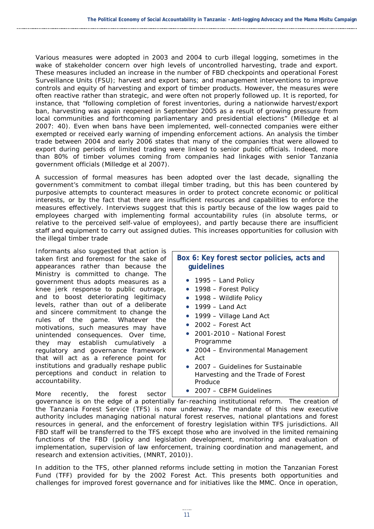Various measures were adopted in 2003 and 2004 to curb illegal logging, sometimes in the wake of stakeholder concern over high levels of uncontrolled harvesting, trade and export. These measures included an increase in the number of FBD checkpoints and operational Forest Surveillance Units (FSU); harvest and export bans; and management interventions to improve controls and equity of harvesting and export of timber products. However, the measures were often reactive rather than strategic, and were often not properly followed up. It is reported, for instance, that "following completion of forest inventories, during a nationwide harvest/export ban, harvesting was again reopened in September 2005 as a result of growing pressure from local communities and forthcoming parliamentary and presidential elections" (Milledge et al 2007: 40). Even when bans have been implemented, well-connected companies were either exempted or received early warning of impending enforcement actions. An analysis the timber trade between 2004 and early 2006 states that many of the companies that were allowed to export during periods of limited trading were linked to senior public officials. Indeed, more than 80% of timber volumes coming from companies had linkages with senior Tanzania government officials (Milledge et al 2007).

A succession of formal measures has been adopted over the last decade, signalling the government's commitment to combat illegal timber trading, but this has been countered by purposive attempts to counteract measures in order to protect concrete economic or political interests, or by the fact that there are insufficient resources and capabilities to enforce the measures effectively. Interviews suggest that this is partly because of the low wages paid to employees charged with implementing formal accountability rules (in absolute terms, or relative to the perceived self-value of employees), and partly because there are insufficient staff and equipment to carry out assigned duties. This increases opportunities for collusion with the illegal timber trade

Informants also suggested that action is taken first and foremost for the sake of appearances rather than because the Ministry is committed to change. The government thus adopts measures as a knee jerk response to public outrage, and to boost deteriorating legitimacy levels, rather than out of a deliberate and sincere commitment to change the rules of the game. Whatever the motivations, such measures may have unintended consequences. Over time, they may establish cumulatively a regulatory and governance framework that will act as a reference point for institutions and gradually reshape public perceptions and conduct in relation to accountability.

More recently, the forest sector

#### **Box 6: Key forest sector policies, acts and guidelines**

- 1995 Land Policy
- 1998 Forest Policy
- 1998 Wildlife Policy
- $\bullet$  1999 Land Act
- 1999 Village Land Act
- 2002 Forest Act
- 2001-2010 National Forest Programme
- 2004 Environmental Management Act
- 2007 Guidelines for Sustainable Harvesting and the Trade of Forest Produce
- 2007 CBFM Guidelines

governance is on the edge of a potentially far-reaching institutional reform. The creation of the Tanzania Forest Service (TFS) is now underway. The mandate of this new executive authority includes managing national natural forest reserves, national plantations and forest resources in general, and the enforcement of forestry legislation within TFS jurisdictions. All FBD staff will be transferred to the TFS except those who are involved in the limited remaining functions of the FBD (policy and legislation development, monitoring and evaluation of implementation, supervision of law enforcement, training coordination and management, and research and extension activities, (MNRT, 2010)).

In addition to the TFS, other planned reforms include setting in motion the Tanzanian Forest Fund (TFF) provided for by the 2002 Forest Act. This presents both opportunities and challenges for improved forest governance and for initiatives like the MMC. Once in operation,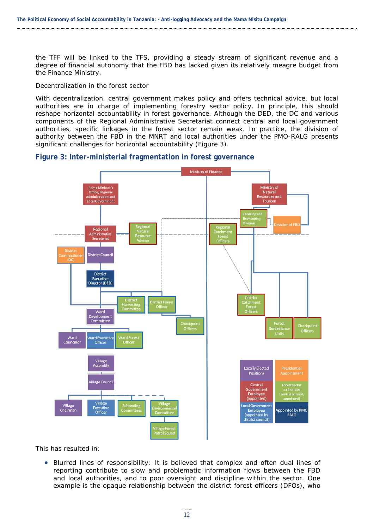the TFF will be linked to the TFS, providing a steady stream of significant revenue and a degree of financial autonomy that the FBD has lacked given its relatively meagre budget from the Finance Ministry.

#### *Decentralization in the forest sector*

With decentralization, central government makes policy and offers technical advice, but local authorities are in charge of implementing forestry sector policy. In principle, this should reshape horizontal accountability in forest governance. Although the DED, the DC and various components of the Regional Administrative Secretariat connect central and local government authorities, specific linkages in the forest sector remain weak. In practice, the division of authority between the FBD in the MNRT and local authorities under the PMO-RALG presents significant challenges for horizontal accountability (Figure 3).

#### <span id="page-19-0"></span>**Figure 3: Inter-ministerial fragmentation in forest governance**



This has resulted in:

• *Blurred lines of responsibility:* It is believed that complex and often dual lines of reporting contribute to slow and problematic information flows between the FBD and local authorities, and to poor oversight and discipline within the sector. One example is the opaque relationship between the district forest officers (DFOs), who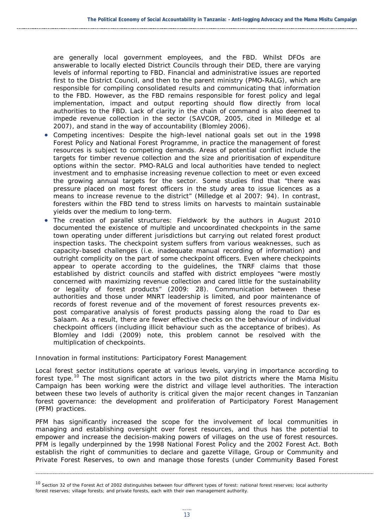are generally local government employees, and the FBD. Whilst DFOs are answerable to locally elected District Councils through their DED, there are varying levels of informal reporting to FBD. Financial and administrative issues are reported first to the District Council, and then to the parent ministry (PMO-RALG), which are responsible for compiling consolidated results and communicating that information to the FBD. However, as the FBD remains responsible for forest policy and legal implementation, impact and output reporting should flow directly from local authorities to the FBD. Lack of clarity in the chain of command is also deemed to impede revenue collection in the sector (SAVCOR, 2005, cited in Milledge et al 2007), and stand in the way of accountability (Blomley 2006).

- *Competing incentives:* Despite the high-level national goals set out in the 1998 Forest Policy and National Forest Programme, in practice the management of forest resources is subject to competing demands. Areas of potential conflict include the targets for timber revenue collection and the size and prioritisation of expenditure options within the sector. PMO-RALG and local authorities have tended to neglect investment and to emphasise increasing revenue collection to meet or even exceed the growing annual targets for the sector. Some studies find that "there was pressure placed on most forest officers in the study area to issue licences as a means to increase revenue to the district" (Milledge et al 2007: 94). In contrast, foresters within the FBD tend to stress limits on harvests to maintain sustainable yields over the medium to long-term.
- *The creation of parallel structures:* Fieldwork by the authors in August 2010 documented the existence of multiple and uncoordinated checkpoints in the same town operating under different jurisdictions but carrying out related forest product inspection tasks. The checkpoint system suffers from various weaknesses, such as capacity-based challenges (i.e. inadequate manual recording of information) and outright complicity on the part of some checkpoint officers. Even where checkpoints appear to operate according to the guidelines, the TNRF claims that those established by district councils and staffed with district employees "were mostly concerned with maximizing revenue collection and cared little for the sustainability or legality of forest products" (2009: 28). Communication between these authorities and those under MNRT leadership is limited, and poor maintenance of records of forest revenue and of the movement of forest resources prevents expost comparative analysis of forest products passing along the road to Dar es Salaam. As a result, there are fewer effective checks on the behaviour of individual checkpoint officers (including illicit behaviour such as the acceptance of bribes). As Blomley and Iddi (2009) note, this problem cannot be resolved with the multiplication of checkpoints.

#### *Innovation in formal institutions: Participatory Forest Management*

Local forest sector institutions operate at various levels, varying in importance according to forest type.<sup>[10](#page-20-0)</sup> The most significant actors in the two pilot districts where the Mama Misitu Campaign has been working were the district and village level authorities. The interaction between these two levels of authority is critical given the major recent changes in Tanzanian forest governance: the development and proliferation of Participatory Forest Management (PFM) practices.

PFM has significantly increased the scope for the involvement of local communities in managing and establishing oversight over forest resources, and thus has the potential to empower and increase the decision-making powers of villages on the use of forest resources. PFM is legally underpinned by the 1998 National Forest Policy and the 2002 Forest Act. Both establish the right of communities to declare and gazette Village, Group or Community and Private Forest Reserves, to own and manage those forests (under Community Based Forest

<span id="page-20-0"></span><sup>10</sup> Section 32 of the Forest Act of 2002 distinguishes between four different types of forest: national forest reserves; local authority forest reserves; village forests; and private forests, each with their own management authority.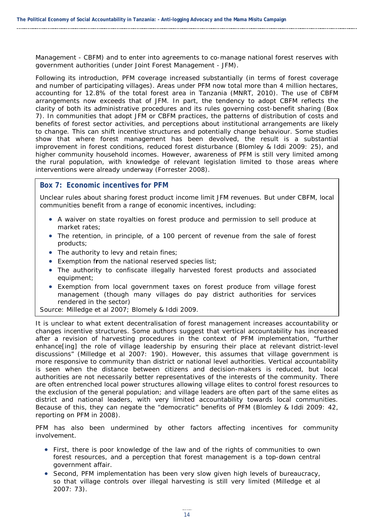Management - CBFM) and to enter into agreements to co-manage national forest reserves with government authorities (under Joint Forest Management - JFM).

Following its introduction, PFM coverage increased substantially (in terms of forest coverage and number of participating villages). Areas under PFM now total more than 4 million hectares, accounting for 12.8% of the total forest area in Tanzania (MNRT, 2010). The use of CBFM arrangements now exceeds that of JFM. In part, the tendency to adopt CBFM reflects the clarity of both its administrative procedures and its rules governing cost-benefit sharing (Box 7). In communities that adopt JFM or CBFM practices, the patterns of distribution of costs and benefits of forest sector activities, and perceptions about institutional arrangements are likely to change. This can shift incentive structures and potentially change behaviour. Some studies show that where forest management has been devolved, the result is a substantial improvement in forest conditions, reduced forest disturbance (Blomley & Iddi 2009: 25), and higher community household incomes. However, awareness of PFM is still very limited among the rural population, with knowledge of relevant legislation limited to those areas where interventions were already underway (Forrester 2008).

#### **Box 7: Economic incentives for PFM**

Unclear rules about sharing forest product income limit JFM revenues. But under CBFM, local communities benefit from a range of economic incentives, including:

- A waiver on state royalties on forest produce and permission to sell produce at market rates;
- The retention, in principle, of a 100 percent of revenue from the sale of forest products;
- The authority to levy and retain fines;
- Exemption f*r*om the national reserved species list;
- The authority to confiscate illegally harvested forest products and associated equipment;
- Exemption from local government taxes on forest produce from village forest management (though many villages do pay district authorities for services rendered in the sector)

Source: Milledge et al 2007; Blomely & Iddi 2009.

It is unclear to what extent decentralisation of forest management increases accountability or changes incentive structures. Some authors suggest that vertical accountability has increased after a revision of harvesting procedures in the context of PFM implementation, "further enhance[ing] the role of village leadership by ensuring their place at relevant district-level discussions" (Milledge et al 2007: 190). However, this assumes that village government is more responsive to community than district or national level authorities. Vertical accountability is seen when the distance between citizens and decision-makers is reduced, but local authorities are not necessarily better representatives of the interests of the community. There are often entrenched local power structures allowing village elites to control forest resources to the exclusion of the general population; and village leaders are often part of the same elites as district and national leaders, with very limited accountability towards local communities. Because of this, they can negate the "democratic" benefits of PFM (Blomley & Iddi 2009: 42, reporting on PFM in 2008).

PFM has also been undermined by other factors affecting incentives for community involvement.

- First, there is poor knowledge of the law and of the rights of communities to own forest resources, and a perception that forest management is a top-down central government affair.
- Second, PFM implementation has been very slow given high levels of bureaucracy, so that village controls over illegal harvesting is still very limited (Milledge et al 2007: 73).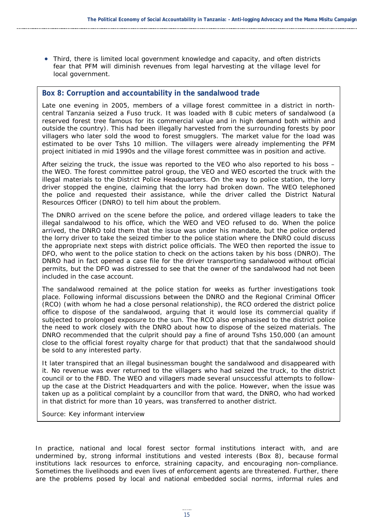• Third, there is limited local government knowledge and capacity, and often districts fear that PFM will diminish revenues from legal harvesting at the village level for local government.

#### **Box 8: Corruption and accountability in the sandalwood trade**

Late one evening in 2005, members of a village forest committee in a district in northcentral Tanzania seized a Fuso truck. It was loaded with 8 cubic meters of sandalwood (a reserved forest tree famous for its commercial value and in high demand both within and outside the country). This had been illegally harvested from the surrounding forests by poor villagers who later sold the wood to forest smugglers. The market value for the load was estimated to be over Tshs 10 million. The villagers were already implementing the PFM project initiated in mid 1990s and the village forest committee was in position and active.

After seizing the truck, the issue was reported to the VEO who also reported to his boss – the WEO. The forest committee patrol group, the VEO and WEO escorted the truck with the illegal materials to the District Police Headquarters. On the way to police station, the lorry driver stopped the engine, claiming that the lorry had broken down. The WEO telephoned the police and requested their assistance, while the driver called the District Natural Resources Officer (DNRO) to tell him about the problem.

The DNRO arrived on the scene before the police, and ordered village leaders to take the illegal sandalwood to his office, which the WEO and VEO refused to do. When the police arrived, the DNRO told them that the issue was under his mandate, but the police ordered the lorry driver to take the seized timber to the police station where the DNRO could discuss the appropriate next steps with district police officials. The WEO then reported the issue to DFO, who went to the police station to check on the actions taken by his boss (DNRO). The DNRO had in fact opened a case file for the driver transporting sandalwood without official permits, but the DFO was distressed to see that the owner of the sandalwood had not been included in the case account.

The sandalwood remained at the police station for weeks as further investigations took place. Following informal discussions between the DNRO and the Regional Criminal Officer (RCO) (with whom he had a close personal relationship), the RCO ordered the district police office to dispose of the sandalwood, arguing that it would lose its commercial quality if subjected to prolonged exposure to the sun. The RCO also emphasised to the district police the need to work closely with the DNRO about how to dispose of the seized materials. The DNRO recommended that the culprit should pay a fine of around Tshs 150,000 (an amount close to the official forest royalty charge for that product) that that the sandalwood should be sold to any interested party.

It later transpired that an illegal businessman bought the sandalwood and disappeared with it. No revenue was ever returned to the villagers who had seized the truck, to the district council or to the FBD. The WEO and villagers made several unsuccessful attempts to followup the case at the District Headquarters and with the police. However, when the issue was taken up as a political complaint by a councillor from that ward, the DNRO, who had worked in that district for more than 10 years, was transferred to another district.

Source: Key informant interview

In practice, national and local forest sector formal institutions interact with, and are undermined by, strong informal institutions and vested interests (Box 8), because formal institutions lack resources to enforce, straining capacity, and encouraging non-compliance. Sometimes the livelihoods and even lives of enforcement agents are threatened. Further, there are the problems posed by local and national embedded social norms, informal rules and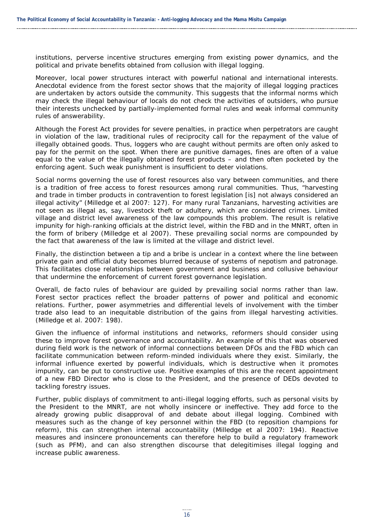institutions, perverse incentive structures emerging from existing power dynamics, and the political and private benefits obtained from collusion with illegal logging.

Moreover, local power structures interact with powerful national and international interests. Anecdotal evidence from the forest sector shows that the majority of illegal logging practices are undertaken by actors outside the community. This suggests that the informal norms which may check the illegal behaviour of locals do not check the activities of outsiders, who pursue their interests unchecked by partially-implemented formal rules and weak informal community rules of answerability.

Although the Forest Act provides for severe penalties, in practice when perpetrators are caught in violation of the law, traditional rules of reciprocity call for the repayment of the value of illegally obtained goods. Thus, loggers who are caught without permits are often only asked to pay for the permit on the spot. When there are punitive damages, fines are often of a value equal to the value of the illegally obtained forest products – and then often pocketed by the enforcing agent. Such weak punishment is insufficient to deter violations.

Social norms governing the use of forest resources also vary between communities, and there is a tradition of free access to forest resources among rural communities. Thus, "harvesting and trade in timber products in contravention to forest legislation [is] not always considered an illegal activity" (Milledge et al 2007: 127). For many rural Tanzanians, harvesting activities are not seen as illegal as, say, livestock theft or adultery, which are considered crimes. Limited village and district level awareness of the law compounds this problem. The result is relative impunity for high-ranking officials at the district level, within the FBD and in the MNRT, often in the form of bribery (Milledge et al 2007). These prevailing social norms are compounded by the fact that awareness of the law is limited at the village and district level.

Finally, the distinction between a tip and a bribe is unclear in a context where the line between private gain and official duty becomes blurred because of systems of nepotism and patronage. This facilitates close relationships between government and business and collusive behaviour that undermine the enforcement of current forest governance legislation.

Overall, *de facto* rules of behaviour are guided by prevailing social norms rather than law. Forest sector practices reflect the broader patterns of power and political and economic relations. Further, power asymmetries and differential levels of involvement with the timber trade also lead to an inequitable distribution of the gains from illegal harvesting activities. (Milledge et al. 2007: 198).

Given the influence of informal institutions and networks, reformers should consider using these to improve forest governance and accountability. An example of this that was observed during field work is the network of informal connections between DFOs and the FBD which can facilitate communication between reform-minded individuals where they exist. Similarly, the informal influence exerted by powerful individuals, which is destructive when it promotes impunity, can be put to constructive use. Positive examples of this are the recent appointment of a new FBD Director who is close to the President, and the presence of DEDs devoted to tackling forestry issues.

Further, public displays of commitment to anti-illegal logging efforts, such as personal visits by the President to the MNRT, are not wholly insincere or ineffective. They add force to the already growing public disapproval of and debate about illegal logging. Combined with measures such as the change of key personnel within the FBD (to reposition champions for reform), this can strengthen internal accountability (Milledge et al 2007: 194). Reactive measures and insincere pronouncements can therefore help to build a regulatory framework (such as PFM), and can also strengthen discourse that delegitimises illegal logging and increase public awareness.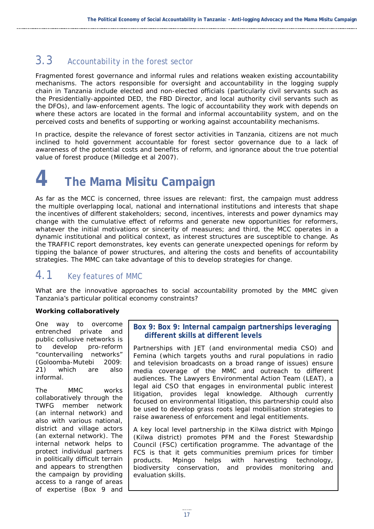## <span id="page-24-0"></span>3.3 Accountability in the forest sector

Fragmented forest governance and informal rules and relations weaken existing accountability mechanisms. The actors responsible for oversight and accountability in the logging supply chain in Tanzania include elected and non-elected officials (particularly civil servants such as the Presidentially-appointed DED, the FBD Director, and local authority civil servants such as the DFOs), and law-enforcement agents. The logic of accountability they work with depends on where these actors are located in the formal and informal accountability system, and on the perceived costs and benefits of supporting or working against accountability mechanisms.

In practice, despite the relevance of forest sector activities in Tanzania, citizens are not much inclined to hold government accountable for forest sector governance due to a lack of awareness of the potential costs and benefits of reform, and ignorance about the true potential value of forest produce (Milledge et al 2007).

<span id="page-24-1"></span>**4 The Mama Misitu Campaign**

As far as the MCC is concerned, three issues are relevant: first, the campaign must address the multiple overlapping local, national and international institutions and interests that shape the incentives of different stakeholders; second, incentives, interests and power dynamics may change with the cumulative effect of reforms and generate new opportunities for reformers, whatever the initial motivations or sincerity of measures; and third, the MCC operates in a dynamic institutional and political context, as interest structures are susceptible to change. As the TRAFFIC report demonstrates, key events can generate unexpected openings for reform by tipping the balance of power structures, and altering the costs and benefits of accountability strategies. The MMC can take advantage of this to develop strategies for change.

## <span id="page-24-2"></span>4.1 Key features of MMC

What are the innovative approaches to social accountability promoted by the MMC given Tanzania's particular political economy constraints?

#### *Working collaboratively*

One way to overcome entrenched private and public collusive networks is to develop pro-reform "countervailing networks" (Goloomba-Mutebi 2009: 21) which are also informal.

The MMC works collaboratively through the TWFG member network (an internal network) and also with various national, district and village actors (an external network). The internal network helps to protect individual partners in politically difficult terrain and appears to strengthen the campaign by providing access to a range of areas of expertise (Box 9 and

#### **Box 9: Box 9: Internal campaign partnerships leveraging different skills at different levels**

Partnerships with JET (and environmental media CSO) and Femina (which targets youths and rural populations in radio and television broadcasts on a broad range of issues) ensure media coverage of the MMC and outreach to different audiences. The Lawyers Environmental Action Team (LEAT), a legal aid CSO that engages in environmental public interest litigation, provides legal knowledge. Although currently focused on environmental litigation, this partnership could also be used to develop grass roots legal mobilisation strategies to raise awareness of enforcement and legal entitlements.

A key local level partnership in the Kilwa district with Mpingo (Kilwa district) promotes PFM and the Forest Stewardship Council (FSC) certification programme. The advantage of the FCS is that it gets communities premium prices for timber products. Mpingo helps with harvesting technology, biodiversity conservation, and provides monitoring and evaluation skills.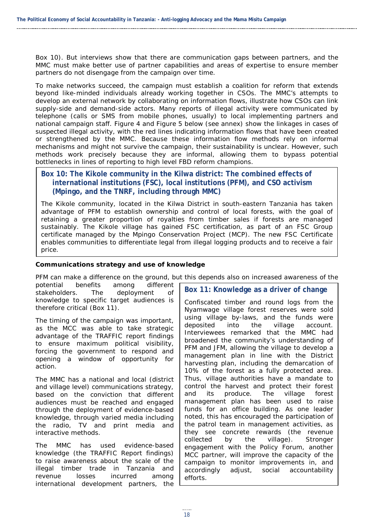Box 10). But interviews show that there are communication gaps between partners, and the MMC must make better use of partner capabilities and areas of expertise to ensure member partners do not disengage from the campaign over time.

To make networks succeed, the campaign must establish a coalition for reform that extends beyond like-minded individuals already working together in CSOs. The MMC's attempts to develop an external network by collaborating on information flows, illustrate how CSOs can link supply-side and demand-side actors. Many reports of illegal activity were communicated by telephone (calls or SMS from mobile phones, usually) to local implementing partners and national campaign staff. Figure 4 and Figure 5 below (see annex) show the linkages in cases of suspected illegal activity, with the red lines indicating information flows that have been created or strengthened by the MMC. Because these information flow methods rely on informal mechanisms and might not survive the campaign, their sustainability is unclear. However, such methods work precisely because they are informal, allowing them to bypass potential bottlenecks in lines of reporting to high level FBD reform champions.

#### **Box 10: The Kikole community in the Kilwa district: The combined effects of international institutions (FSC), local institutions (PFM), and CSO activism (Mpingo, and the TNRF, including through MMC)**

The Kikole community, located in the Kilwa District in south-eastern Tanzania has taken advantage of PFM to establish ownership and control of local forests, with the goal of retaining a greater proportion of royalties from timber sales if forests are managed sustainably. The Kikole village has gained FSC certification, as part of an FSC Group certificate managed by the Mpingo Conservation Project (MCP). The new FSC Certificate enables communities to differentiate legal from illegal logging products and to receive a fair price.

#### *Communications strategy and use of knowledge*

PFM can make a difference on the ground, but this depends also on increased awareness of the

potential benefits among different stakeholders. The deployment of knowledge to specific target audiences is therefore critical (Box 11).

The timing of the campaign was important, as the MCC was able to take strategic advantage of the TRAFFIC report findings to ensure maximum political visibility, forcing the government to respond and opening a window of opportunity for action.

The MMC has a national and local (district and village level) communications strategy, based on the conviction that different audiences must be reached and engaged through the deployment of evidence-based knowledge, through varied media including the radio, TV and print media and interactive methods.

The MMC has used evidence-based knowledge (the TRAFFIC Report findings) to raise awareness about the scale of the illegal timber trade in Tanzania and revenue losses incurred among international development partners, the

#### **Box 11: Knowledge as a driver of change**

Confiscated timber and round logs from the Nyamwage village forest reserves were sold using village by-laws, and the funds were deposited into the village account. Interviewees remarked that the MMC had broadened the community's understanding of PFM and JFM, allowing the village to develop a management plan in line with the District harvesting plan, including the demarcation of 10% of the forest as a fully protected area. Thus, village authorities have a mandate to control the harvest and protect their forest and its produce. The village forest management plan has been used to raise funds for an office building. As one leader noted, this has encouraged the participation of the patrol team in management activities, as they see concrete rewards (the revenue collected by the village). Stronger engagement with the Policy Forum, another MCC partner, will improve the capacity of the campaign to monitor improvements in, and accordingly adjust, social accountability efforts.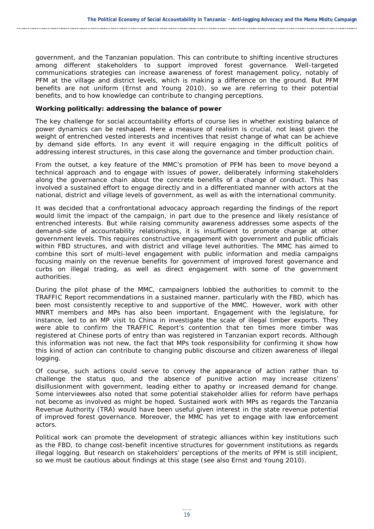government, and the Tanzanian population. This can contribute to shifting incentive structures among different stakeholders to support improved forest governance. Well-targeted communications strategies can increase awareness of forest management policy, notably of PFM at the village and district levels, which is making a difference on the ground. But PFM benefits are not uniform (Ernst and Young 2010), so we are referring to their *potential* benefits, and to how knowledge can contribute to changing perceptions.

#### *Working politically: addressing the balance of power*

The key challenge for social accountability efforts of course lies in whether existing balance of power dynamics can be reshaped. Here a measure of realism is crucial, not least given the weight of entrenched vested interests and incentives that resist change of what can be achieve by demand side efforts. In any event it will require engaging in the difficult politics of addressing interest structures, in this case along the governance and timber production chain.

From the outset, a key feature of the MMC's promotion of PFM has been to move beyond a technical approach and to engage with issues of power, deliberately informing stakeholders along the governance chain about the concrete benefits of a change of conduct. This has involved a sustained effort to engage directly and in a differentiated manner with actors at the national, district and village levels of government, as well as with the international community.

It was decided that a confrontational advocacy approach regarding the findings of the report would limit the impact of the campaign, in part due to the presence and likely resistance of entrenched interests. But while raising community awareness addresses some aspects of the demand-side of accountability relationships, it is insufficient to promote change at other government levels. This requires *constructive engagement* with government and public officials within FBD structures, and with district and village level authorities. The MMC has aimed to combine this sort of multi-level engagement with public information and media campaigns focusing mainly on the revenue benefits for government of improved forest governance and curbs on illegal trading, as well as direct engagement with some of the government authorities.

During the pilot phase of the MMC, campaigners lobbied the authorities to commit to the TRAFFIC Report recommendations in a sustained manner, particularly with the FBD, which has been most consistently receptive to and supportive of the MMC. However, work with other MNRT members and MPs has also been important. Engagement with the legislature, for instance, led to an MP visit to China in investigate the scale of illegal timber exports. They were able to confirm the TRAFFIC Report's contention that ten times more timber was registered at Chinese ports of entry than was registered in Tanzanian export records. Although this information was not new, the fact that MPs took responsibility for confirming it show how this kind of action can contribute to changing public discourse and citizen awareness of illegal logging.

Of course, such actions could serve to convey the appearance of action rather than to challenge the status quo, and the absence of punitive action may increase citizens' disillusionment with government, leading either to apathy or increased demand for change. Some interviewees also noted that some potential stakeholder allies for reform have perhaps not become as involved as might be hoped. Sustained work with MPs as regards the Tanzania Revenue Authority (TRA) would have been useful given interest in the state revenue potential of improved forest governance. Moreover, the MMC has yet to engage with law enforcement actors.

Political work can promote the development of strategic alliances within key institutions such as the FBD, to change cost-benefit incentive structures for government institutions as regards illegal logging. But research on stakeholders' perceptions of the merits of PFM is still incipient, so we must be cautious about findings at this stage (see also Ernst and Young 2010).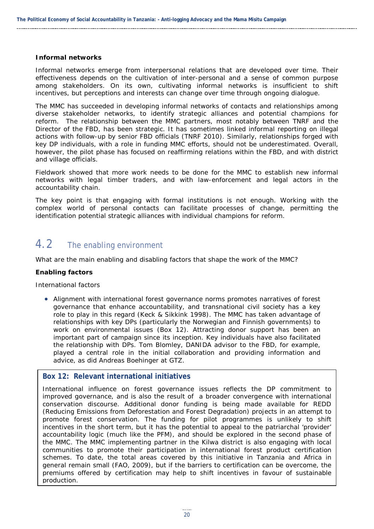#### *Informal networks*

Informal networks emerge from interpersonal relations that are developed over time. Their effectiveness depends on the cultivation of inter-personal and a sense of common purpose among stakeholders. On its own, cultivating informal networks is insufficient to shift incentives, but perceptions and interests can change over time through ongoing dialogue.

The MMC has succeeded in developing informal networks of contacts and relationships among diverse stakeholder networks, to identify strategic alliances and potential champions for reform. The relationship between the MMC partners, most notably between TNRF and the Director of the FBD, has been strategic. It has sometimes linked informal reporting on illegal actions with follow-up by senior FBD officials (TNRF 2010). Similarly, relationships forged with key DP individuals, with a role in funding MMC efforts, should not be underestimated. Overall, however, the pilot phase has focused on reaffirming relations within the FBD, and with district and village officials.

Fieldwork showed that more work needs to be done for the MMC to establish new informal networks with legal timber traders, and with law-enforcement and legal actors in the accountability chain.

The key point is that engaging with formal institutions is not enough. Working with the complex world of personal contacts can facilitate processes of change, permitting the identification potential strategic alliances with individual champions for reform.

## <span id="page-27-0"></span>4.2 The enabling environment

What are the main enabling and disabling factors that shape the work of the MMC?

#### *Enabling factors*

#### *International factors*

• Alignment with international forest governance norms promotes narratives of forest governance that enhance accountability, and transnational civil society has a key role to play in this regard (Keck & Sikkink 1998). The MMC has taken advantage of relationships with key DPs (particularly the Norwegian and Finnish governments) to work on environmental issues (Box 12). Attracting donor support has been an important part of campaign since its inception. Key individuals have also facilitated the relationship with DPs. Tom Blomley, DANIDA advisor to the FBD, for example, played a central role in the initial collaboration and providing information and advice, as did Andreas Boehinger at GTZ.

#### **Box 12: Relevant international initiatives**

International influence on forest governance issues reflects the DP commitment to improved governance, and is also the result of a broader convergence with international conservation discourse. Additional donor funding is being made available for REDD (Reducing Emissions from Deforestation and Forest Degradation) projects in an attempt to promote forest conservation. The funding for pilot programmes is unlikely to shift incentives in the short term, but it has the potential to appeal to the patriarchal 'provider' accountability logic (much like the PFM), and should be explored in the second phase of the MMC. The MMC implementing partner in the Kilwa district is also engaging with local communities to promote their participation in international forest product certification schemes. To date, the total areas covered by this initiative in Tanzania and Africa in general remain small (FAO, 2009), but if the barriers to certification can be overcome, the premiums offered by certification may help to shift incentives in favour of sustainable production.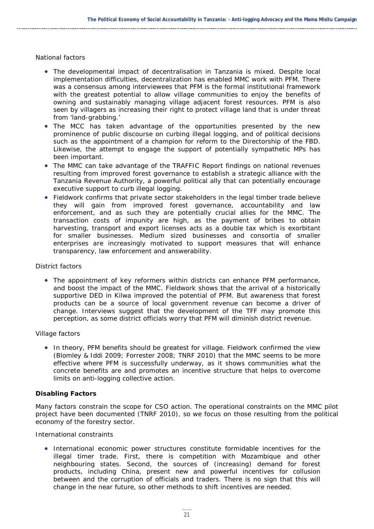#### *National factors*

- The developmental impact of decentralisation in Tanzania is mixed. Despite local implementation difficulties, decentralization has enabled MMC work with PFM. There was a consensus among interviewees that PFM is the formal institutional framework with the greatest potential to allow village communities to enjoy the benefits of owning and sustainably managing village adjacent forest resources. PFM is also seen by villagers as increasing their right to protect village land that is under threat from 'land-grabbing.'
- The MCC has taken advantage of the opportunities presented by the new prominence of public discourse on curbing illegal logging, and of political decisions such as the appointment of a champion for reform to the Directorship of the FBD. Likewise, the attempt to engage the support of potentially sympathetic MPs has been important.
- The MMC can take advantage of the TRAFFIC Report findings on national revenues resulting from improved forest governance to establish a strategic alliance with the Tanzania Revenue Authority, a powerful political ally that can potentially encourage executive support to curb illegal logging.
- Fieldwork confirms that private sector stakeholders in the legal timber trade believe they will gain from improved forest governance, accountability and law enforcement, and as such they are potentially crucial allies for the MMC. The transaction costs of impunity are high, as the payment of bribes to obtain harvesting, transport and export licenses acts as a double tax which is exorbitant for smaller businesses. Medium sized businesses and consortia of smaller enterprises are increasingly motivated to support measures that will enhance transparency, law enforcement and answerability.

#### *District factors*

• The appointment of key reformers within districts can enhance PFM performance, and boost the impact of the MMC. Fieldwork shows that the arrival of a historically supportive DED in Kilwa improved the potential of PFM. But awareness that forest products can be a source of local government revenue can become a driver of change. Interviews suggest that the development of the TFF may promote this perception, as some district officials worry that PFM will diminish district revenue.

#### *Village factors*

• In theory, PFM benefits should be greatest for village. Fieldwork confirmed the view (Blomley & Iddi 2009; Forrester 2008; TNRF 2010) that the MMC seems to be more effective where PFM is successfully underway, as it shows communities what the concrete benefits are and promotes an incentive structure that *helps to overcome limits on anti-logging collecti*ve *action*.

#### *Disabling Factors*

Many factors constrain the scope for CSO action. The operational constraints on the MMC pilot project have been documented (TNRF 2010), so we focus on those resulting from the political economy of the forestry sector.

#### *International constraints*

• International economic power structures constitute formidable incentives for the illegal timer trade. First, there is competition with Mozambique and other neighbouring states. Second, the sources of (increasing) demand for forest products, including China, present new and powerful incentives for collusion between and the corruption of officials and traders. There is no sign that this will change in the near future, so other methods to shift incentives are needed.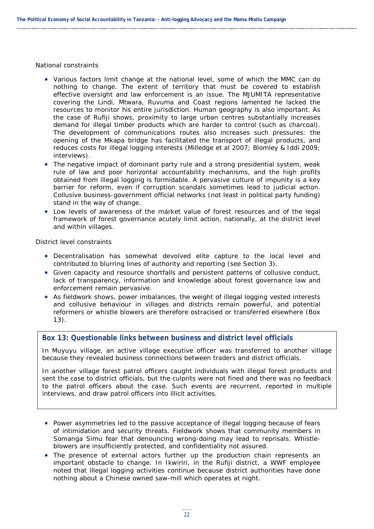#### *National constraints*

- Various factors limit change at the national level, some of which the MMC can do nothing to change. The extent of territory that must be covered to establish effective oversight and law enforcement is an issue. The MJUMITA representative covering the Lindi, Mtwara, Ruvuma and Coast regions lamented he lacked the resources to monitor his entire jurisdiction. Human geography is also important. As the case of Rufiji shows, proximity to large urban centres substantially increases demand for illegal timber products which are harder to control (such as charcoal). The development of communications routes also increases such pressures: the opening of the Mkapa bridge has facilitated the transport of illegal products, and reduces costs for illegal logging interests (Milledge et al 2007; Blomley & Iddi 2009; interviews).
- The negative impact of dominant party rule and a strong presidential system, weak rule of law and poor horizontal accountability mechanisms, and the high profits obtained from illegal logging is formidable. A pervasive culture of impunity is a key barrier for reform, even if corruption scandals sometimes lead to judicial action. Collusive business-government official networks (not least in political party funding) stand in the way of change.
- Low levels of awareness of the market value of forest resources and of the legal framework of forest governance acutely limit action, nationally, at the district level and within villages.

#### *District level constraints*

- Decentralisation has somewhat devolved elite capture to the local level and contributed to blurring lines of authority and reporting (see Section 3).
- Given capacity and resource shortfalls and persistent patterns of collusive conduct, lack of transparency, information and knowledge about forest governance law and enforcement remain pervasive.
- As fieldwork shows, power imbalances, the weight of illegal logging vested interests and collusive behaviour in villages and districts remain powerful, and potential reformers or whistle blowers are therefore ostracised or transferred elsewhere (Box 13).

#### **Box 13: Questionable links between business and district level officials**

In Muyuyu village, an active village executive officer was transferred to another village because they revealed business connections between traders and district officials.

In another village forest patrol officers caught individuals with illegal forest products and sent the case to district officials, but the culprits were not fined and there was no feedback to the patrol officers about the case. Such events are recurrent, reported in multiple interviews, and draw patrol officers into illicit activities.

- Power asymmetries led to the passive acceptance of illegal logging because of fears of intimidation and security threats. Fieldwork shows that community members in Somanga Simu fear that denouncing wrong-doing may lead to reprisals. Whistleblowers are insufficiently protected, and confidentiality not assured.
- The presence of external actors further up the production chain represents an important obstacle to change. In Ikwiriri, in the Rufiji district, a WWF employee noted that illegal logging activities continue because district authorities have done nothing about a Chinese owned saw-mill which operates at night.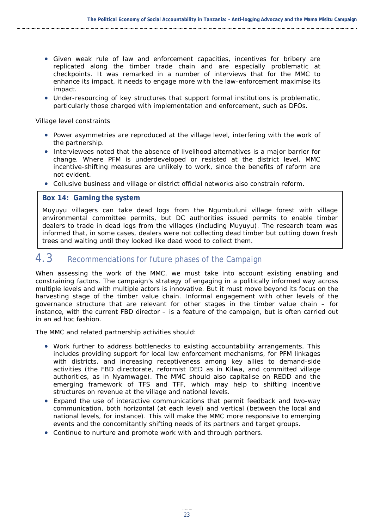- Given weak rule of law and enforcement capacities, incentives for bribery are replicated along the timber trade chain and are especially problematic at checkpoints. It was remarked in a number of interviews that for the MMC to enhance its impact, it needs to engage more with the law-enforcement maximise its impact.
- Under-resourcing of key structures that support formal institutions is problematic, particularly those charged with implementation and enforcement, such as DFOs.

#### *Village level constraints*

- Power asymmetries are reproduced at the village level, interfering with the work of the partnership.
- Interviewees noted that the absence of livelihood alternatives is a major barrier for change. Where PFM is underdeveloped or resisted at the district level, MMC incentive-shifting measures are unlikely to work, since the benefits of reform are not evident.
- Collusive business and village or district official networks also constrain reform.

#### **Box 14: Gaming the system**

Muyuyu villagers can take dead logs from the Ngumbuluni village forest with village environmental committee permits, but DC authorities issued permits to enable timber dealers to trade in dead logs from the villages (including Muyuyu). The research team was informed that, in some cases, dealers were not collecting dead timber but cutting down fresh trees and waiting until they looked like dead wood to collect them.

## <span id="page-30-0"></span>4.3 Recommendations for future phases of the Campaign

When assessing the work of the MMC, we must take into account existing enabling and constraining factors. The campaign's strategy of engaging in a politically informed way across multiple levels and with multiple actors is innovative. But it must move beyond its focus on the harvesting stage of the timber value chain. Informal engagement with other levels of the governance structure that are relevant for other stages in the timber value chain – for instance, with the current FBD director – is a feature of the campaign, but is often carried out in an ad hoc fashion.

The MMC and related partnership activities should:

- Work further to address bottlenecks to existing accountability arrangements. This includes providing support for local law enforcement mechanisms, for PFM linkages with districts, and increasing receptiveness among key allies to demand-side activities (the FBD directorate, reformist DED as in Kilwa, and committed village authorities, as in Nyamwage). The MMC should also capitalise on REDD and the emerging framework of TFS and TFF, which may help to shifting incentive structures on revenue at the village and national levels.
- Expand the use of interactive communications that permit feedback and two-way communication, both horizontal (at each level) and vertical (between the local and national levels, for instance). This will make the MMC more responsive to emerging events and the concomitantly shifting needs of its partners and target groups.
- Continue to nurture and promote work with and through partners.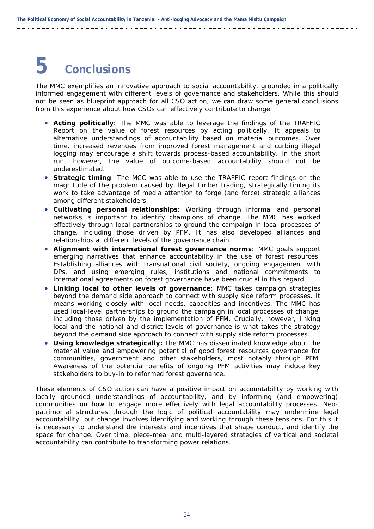# <span id="page-31-0"></span>**5 Conclusions**

The MMC exemplifies an innovative approach to social accountability, grounded in a politically informed engagement with different levels of governance and stakeholders. While this should not be seen as blueprint approach for all CSO action, we can draw some general conclusions from this experience about how CSOs can effectively contribute to change.

- **Acting politically**: The MMC was able to leverage the findings of the TRAFFIC Report on the value of forest resources by acting politically. It appeals to alternative understandings of accountability based on material outcomes. Over time, increased revenues from improved forest management and curbing illegal logging may encourage a shift towards process-based accountability. In the short run, however, the value of outcome-based accountability should not be underestimated.
- **Strategic timing**: The MCC was able to use the TRAFFIC report findings on the magnitude of the problem caused by illegal timber trading, strategically timing its work to take advantage of media attention to forge (and force) strategic alliances among different stakeholders.
- **Cultivating personal relationships**: Working through informal and personal networks is important to identify champions of change. The MMC has worked effectively through local partnerships to ground the campaign in local processes of change, including those driven by PFM. It has also developed alliances and relationships at different levels of the governance chain
- **Alignment with international forest governance norms**: MMC goals support emerging narratives that enhance accountability in the use of forest resources. Establishing alliances with transnational civil society, ongoing engagement with DPs, and using emerging rules, institutions and national commitments to international agreements on forest governance have been crucial in this regard.
- **Linking local to other levels of governance**: MMC takes campaign strategies beyond the demand side approach to connect with supply side reform processes. It means working closely with local needs, capacities and incentives. The MMC has used local-level partnerships to ground the campaign in local processes of change, including those driven by the implementation of PFM. Crucially, however, linking local and the national and district levels of governance is what takes the strategy beyond the demand side approach to connect with supply side reform processes.
- **Using knowledge strategically***:* The MMC has disseminated knowledge about the material value and empowering potential of good forest resources governance for communities, government and other stakeholders, most notably through PFM. Awareness of the potential benefits of ongoing PFM activities may induce key stakeholders to buy-in to reformed forest governance.

These elements of CSO action can have a positive impact on accountability by working with locally grounded understandings of accountability, and by informing (and empowering) communities on how to engage more effectively with legal accountability processes. Neopatrimonial structures through the logic of political accountability may undermine legal accountability, but change involves identifying and working through these tensions. For this it is necessary to understand the interests and incentives that shape conduct, and identify the space for change. Over time, piece-meal and multi-layered strategies of vertical and societal accountability can contribute to transforming power relations.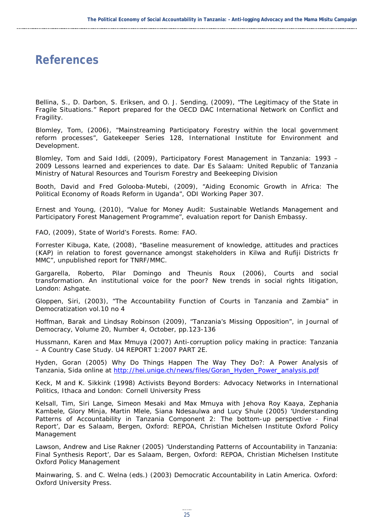## <span id="page-32-0"></span>**References**

Bellina, S., D. Darbon, S. Eriksen, and O. J. Sending, (2009), "The Legitimacy of the State in Fragile Situations." Report prepared for the OECD DAC International Network on Conflict and Fragility.

Blomley, Tom, (2006), "Mainstreaming Participatory Forestry within the local government reform processes", Gatekeeper Series 128, International Institute for Environment and Development.

Blomley, Tom and Said Iddi, (2009), *Participatory Forest Management in Tanzania: 1993 – 2009 Lessons learned and experiences to date*. Dar Es Salaam: United Republic of Tanzania Ministry of Natural Resources and Tourism Forestry and Beekeeping Division

Booth, David and Fred Golooba-Mutebi, (2009), "Aiding Economic Growth in Africa: The Political Economy of Roads Reform in Uganda", ODI Working Paper 307.

Ernest and Young, (2010), "Value for Money Audit: Sustainable Wetlands Management and Participatory Forest Management Programme", evaluation report for Danish Embassy.

FAO, (2009), *State of World's* Forests. Rome: FAO.

Forrester Kibuga, Kate, (2008), "Baseline measurement of knowledge, attitudes and practices (KAP) in relation to forest governance amongst stakeholders in Kilwa and Rufiji Districts fr MMC", unpublished report for TNRF/MMC.

Gargarella, Roberto, Pilar Domingo and Theunis Roux (2006), *Courts and social transformation. An institutional voice for the poor? New trends in social rights litigation*, London: Ashgate.

Gloppen, Siri, (2003), "The Accountability Function of Courts in Tanzania and Zambia" in *Democratization* vol.10 no 4

Hoffman, Barak and Lindsay Robinson (2009), "Tanzania's Missing Opposition", in *Journal of Democracy*, Volume 20, Number 4, October, pp.123-136

Hussmann, Karen and Max Mmuya (2007) Anti-corruption policy making in practice: Tanzania – A Country Case Study. U4 REPORT 1:2007 PART 2E.

Hyden, Goran (2005) *Why Do Things Happen The Way They Do?: A Power Analysis of Tanzania,* Sida online at [http://hei.unige.ch/news/files/Goran\\_Hyden\\_Power\\_analysis.pdf](http://hei.unige.ch/news/files/Goran_Hyden_Power_analysis.pdf)

Keck, M and K. Sikkink (1998) *Activists Beyond Borders: Advocacy Networks in International Politics,* Ithaca and London: Cornell University Press

Kelsall, Tim, Siri Lange, Simeon Mesaki and Max Mmuya with Jehova Roy Kaaya, Zephania Kambele, Glory Minja, Martin Mlele, Siana Ndesaulwa and Lucy Shule (2005) 'Understanding Patterns of Accountability in Tanzania Component 2: The bottom-up perspective - Final Report', Dar es Salaam, Bergen, Oxford: REPOA, Christian Michelsen Institute Oxford Policy Management

Lawson, Andrew and Lise Rakner (2005) 'Understanding Patterns of Accountability in Tanzania: Final Synthesis Report', Dar es Salaam, Bergen, Oxford: REPOA, Christian Michelsen Institute Oxford Policy Management

Mainwaring, S. and C. Welna (eds.) (2003) *Democratic Accountability in Latin America*. Oxford: Oxford University Press.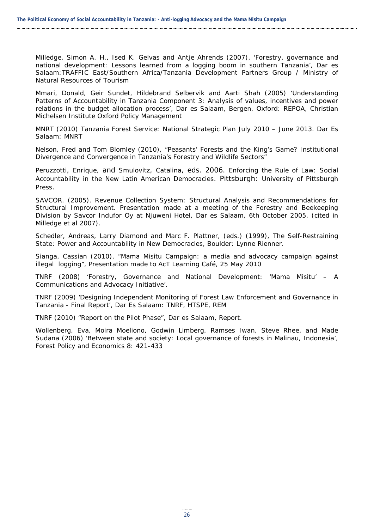Milledge, Simon A. H., Ised K. Gelvas and Antje Ahrends (2007), 'Forestry, governance and national development: Lessons learned from a logging boom in southern Tanzania', Dar es Salaam:TRAFFIC East/Southern Africa/Tanzania Development Partners Group / Ministry of Natural Resources of Tourism

Mmari, Donald, Geir Sundet, Hildebrand Selbervik and Aarti Shah (2005) 'Understanding Patterns of Accountability in Tanzania Component 3: Analysis of values, incentives and power relations in the budget allocation process', Dar es Salaam, Bergen, Oxford: REPOA, Christian Michelsen Institute Oxford Policy Management

MNRT (2010) Tanzania Forest Service: National Strategic Plan July 2010 – June 2013. Dar Es Salaam: MNRT

Nelson, Fred and Tom Blomley (2010), "Peasants' Forests and the King's Game? Institutional Divergence and Convergence in Tanzania's Forestry and Wildlife Sectors"

Peruzzotti, Enrique, and Smulovitz, Catalina, eds. 2006. *Enforcing the Rule of Law: Social Accountability in the New Latin American Democracies*. Pittsburgh: University of Pittsburgh Press.

SAVCOR. (2005). *Revenue Collection System: Structural Analysis and Recommendations for Structural Improvement.* Presentation made at a meeting of the Forestry and Beekeeping Division by Savcor Indufor Oy at Njuweni Hotel, Dar es Salaam, 6th October 2005, (cited in Milledge et al 2007).

Schedler, Andreas, Larry Diamond and Marc F. Plattner, (eds.) (1999), *The Self-Restraining State: Power and Accountability in New Democracies*, Boulder: Lynne Rienner.

Sianga, Cassian (2010), "Mama Misitu Campaign: a media and advocacy campaign against illegal logging", Presentation made to AcT Learning Café, 25 May 2010

TNRF (2008) 'Forestry, Governance and National Development: '*Mama Misitu'* – A Communications and Advocacy Initiative'.

TNRF (2009) 'Designing Independent Monitoring of Forest Law Enforcement and Governance in Tanzania - Final Report', Dar Es Salaam: TNRF, HTSPE, REM

TNRF (2010) "Report on the Pilot Phase", Dar es Salaam, Report.

Wollenberg, Eva, Moira Moeliono, Godwin Limberg, Ramses Iwan, Steve Rhee, and Made Sudana (2006) 'Between state and society: Local governance of forests in Malinau, Indonesia', *Forest Policy and Economics* 8: 421-433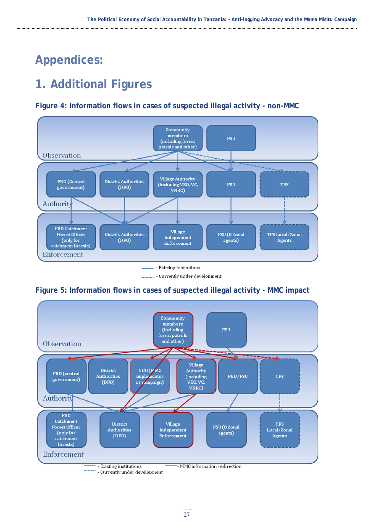## <span id="page-34-0"></span>**Appendices:**

## <span id="page-34-1"></span>**1. Additional Figures**

#### <span id="page-34-2"></span>**Figure 4: Information flows in cases of suspected illegal activity - non-MMC**



\_\_\_. - Currently under development

### <span id="page-34-3"></span>**Figure 5: Information flows in cases of suspected illegal activity - MMC impact**

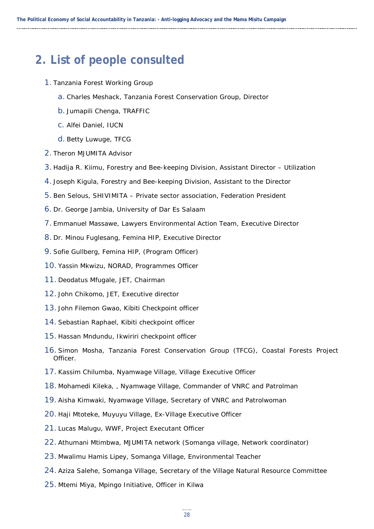## <span id="page-35-0"></span>**2. List of people consulted**

- 1. Tanzania Forest Working Group
	- a. Charles Meshack, Tanzania Forest Conservation Group, Director
	- b. Jumapili Chenga, TRAFFIC
	- c. Alfei Daniel, IUCN
	- d. Betty Luwuge, TFCG
- 2. Theron MJUMITA Advisor
- 3. Hadija R. Kiimu, Forestry and Bee-keeping Division, Assistant Director Utilization
- 4. Joseph Kigula, Forestry and Bee-keeping Division, Assistant to the Director
- 5. Ben Selous, SHIVIMITA Private sector association, Federation President
- 6. Dr. George Jambia, University of Dar Es Salaam
- 7. Emmanuel Massawe, Lawyers Environmental Action Team, Executive Director
- 8. Dr. Minou Fuglesang, Femina HIP, Executive Director
- 9. Sofie Gullberg, Femina HIP, (Program Officer)
- 10. Yassin Mkwizu, NORAD, Programmes Officer
- 11. Deodatus Mfugale, JET, Chairman
- 12. John Chikomo, JET, Executive director
- 13. John Filemon Gwao, Kibiti Checkpoint officer
- 14. Sebastian Raphael, Kibiti checkpoint officer
- 15. Hassan Mndundu, Ikwiriri checkpoint officer
- 16. Simon Mosha, Tanzania Forest Conservation Group (TFCG), Coastal Forests Project Officer.
- 17. Kassim Chilumba, Nyamwage Village, Village Executive Officer
- 18. Mohamedi Kileka, , Nyamwage Village, Commander of VNRC and Patrolman
- 19. Aisha Kimwaki, Nyamwage Village, Secretary of VNRC and Patrolwoman
- 20. Haji Mtoteke, Muyuyu Village, Ex-Village Executive Officer
- 21. Lucas Malugu, WWF, Project Executant Officer
- 22. Athumani Mtimbwa, MJUMITA network (Somanga village, Network coordinator)
- 23. Mwalimu Hamis Lipey, Somanga Village, Environmental Teacher
- 24. Aziza Salehe, Somanga Village, Secretary of the Village Natural Resource Committee
- 25. Mtemi Miya, Mpingo Initiative, Officer in Kilwa